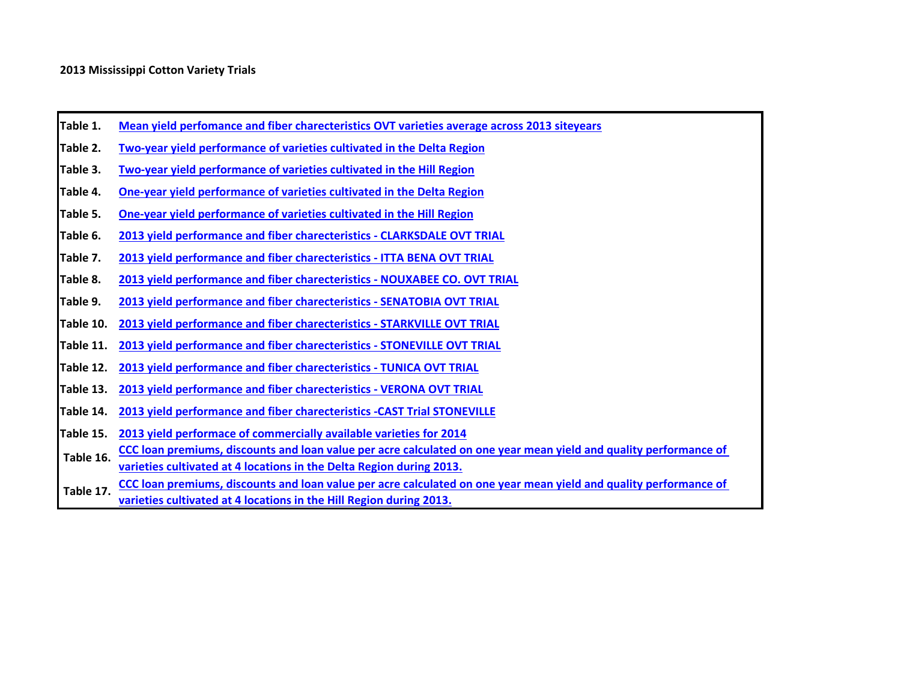- **Table 1. Mean yield perfomance and fiber charecteristics OVT varieties average across 2013 siteyears**
- **Table 2. Two-year yield performance of varieties cultivated in the Delta Region**
- **Table 3. Two-year yield performance of varieties cultivated in the Hill Region**
- **Table 4. One-year yield performance of varieties cultivated in the Delta Region**
- **Table 5. One-year yield performance of varieties cultivated in the Hill Region**
- **Table 6. 2013 yield performance and fiber charecteristics - CLARKSDALE OVT TRIAL**
- **Table 7. 2013 yield performance and fiber charecteristics - ITTA BENA OVT TRIAL**
- <span id="page-0-0"></span>**Table 8. 2013 yield performance and fiber charecteristics - NOUXABEE CO. OVT TRIAL**
- **Table 9. 2013 yield performance and fiber charecteristics - SENATOBIA OVT TRIAL**
- **Table 10. 2013 yield performance and fiber charecteristics - STARKVILLE OVT TRIAL**
- **Table 11. 2013 yield performance and fiber charecteristics - STONEVILLE OVT TRIAL**
- **Table 12. 2013 yield performance and fiber charecteristics TUNICA OVT TRIAL**
- **Table 13. 2013 yield performance and fiber charecteristics - VERONA OVT TRIAL**
- **Table 14. 2013 yield performance and fiber charecteristics -CAST Trial STONEVILLE**
- **Table 15. [2013 yield performace of commercially available varieties for 2014](#page-15-0)**
- **[CCC loan premiums, discounts and loan value per acre calculated on one year mean yield and quality performance of](#page-16-0)  [varieties cu](#page-16-0)ltivated at 4 locations in the Delta Region during 2013. Table 16.**
- **[CCC loan premiums, discounts and loan value per acre calculated on one year mean yield and quality performance of](#page-17-0)  [varieties cu](#page-17-0)ltivated at 4 locations in the Hill Region during 2013. Table 17.**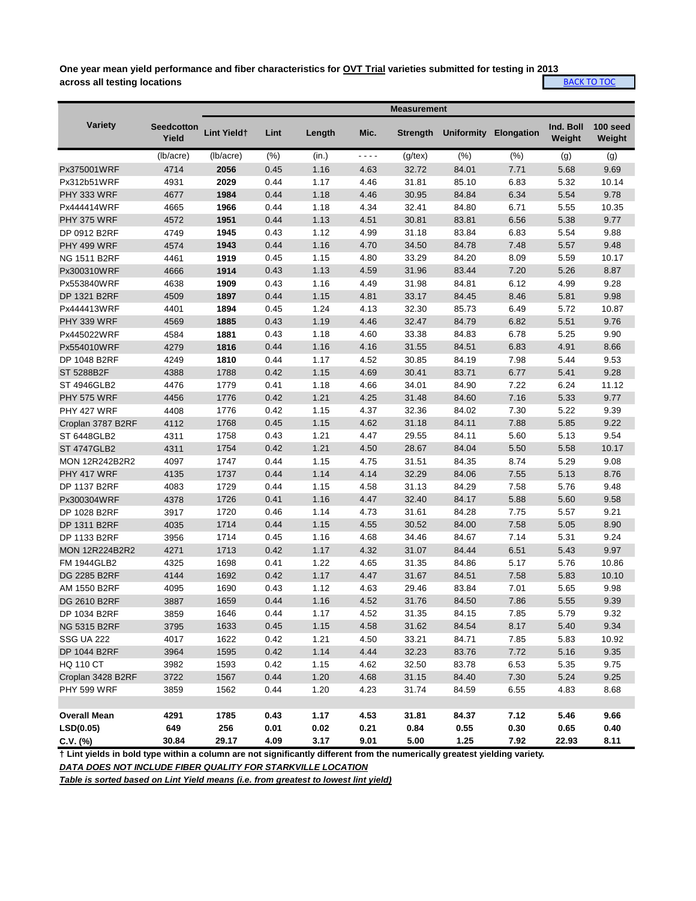**One year mean yield performance and fiber characteristics for OVT Trial varieties submitted for testing in 2013 across all testing locations**

|--|

|                       |                            |                    |      |        |      | <b>Measurement</b> |                   |                   |                     |                    |
|-----------------------|----------------------------|--------------------|------|--------|------|--------------------|-------------------|-------------------|---------------------|--------------------|
| <b>Variety</b>        | <b>Seedcotton</b><br>Yield | <b>Lint Yieldt</b> | Lint | Length | Mic. | <b>Strength</b>    | <b>Uniformity</b> | <b>Elongation</b> | Ind. Boll<br>Weight | 100 seed<br>Weight |
|                       | (lb/acre)                  | (lb/acre)          | (% ) | (in.)  | ---- | $(g$ /tex $)$      | (% )              | (% )              | (g)                 | (g)                |
| Px375001WRF           | 4714                       | 2056               | 0.45 | 1.16   | 4.63 | 32.72              | 84.01             | 7.71              | 5.68                | 9.69               |
| Px312b51WRF           | 4931                       | 2029               | 0.44 | 1.17   | 4.46 | 31.81              | 85.10             | 6.83              | 5.32                | 10.14              |
| PHY 333 WRF           | 4677                       | 1984               | 0.44 | 1.18   | 4.46 | 30.95              | 84.84             | 6.34              | 5.54                | 9.78               |
| Px444414WRF           | 4665                       | 1966               | 0.44 | 1.18   | 4.34 | 32.41              | 84.80             | 6.71              | 5.55                | 10.35              |
| <b>PHY 375 WRF</b>    | 4572                       | 1951               | 0.44 | 1.13   | 4.51 | 30.81              | 83.81             | 6.56              | 5.38                | 9.77               |
| DP 0912 B2RF          | 4749                       | 1945               | 0.43 | 1.12   | 4.99 | 31.18              | 83.84             | 6.83              | 5.54                | 9.88               |
| PHY 499 WRF           | 4574                       | 1943               | 0.44 | 1.16   | 4.70 | 34.50              | 84.78             | 7.48              | 5.57                | 9.48               |
| <b>NG 1511 B2RF</b>   | 4461                       | 1919               | 0.45 | 1.15   | 4.80 | 33.29              | 84.20             | 8.09              | 5.59                | 10.17              |
| Px300310WRF           | 4666                       | 1914               | 0.43 | 1.13   | 4.59 | 31.96              | 83.44             | 7.20              | 5.26                | 8.87               |
| Px553840WRF           | 4638                       | 1909               | 0.43 | 1.16   | 4.49 | 31.98              | 84.81             | 6.12              | 4.99                | 9.28               |
| DP 1321 B2RF          | 4509                       | 1897               | 0.44 | 1.15   | 4.81 | 33.17              | 84.45             | 8.46              | 5.81                | 9.98               |
| Px444413WRF           | 4401                       | 1894               | 0.45 | 1.24   | 4.13 | 32.30              | 85.73             | 6.49              | 5.72                | 10.87              |
| PHY 339 WRF           | 4569                       | 1885               | 0.43 | 1.19   | 4.46 | 32.47              | 84.79             | 6.82              | 5.51                | 9.76               |
| Px445022WRF           | 4584                       | 1881               | 0.43 | 1.18   | 4.60 | 33.38              | 84.83             | 6.78              | 5.25                | 9.90               |
| Px554010WRF           | 4279                       | 1816               | 0.44 | 1.16   | 4.16 | 31.55              | 84.51             | 6.83              | 4.91                | 8.66               |
| DP 1048 B2RF          | 4249                       | 1810               | 0.44 | 1.17   | 4.52 | 30.85              | 84.19             | 7.98              | 5.44                | 9.53               |
| ST 5288B2F            | 4388                       | 1788               | 0.42 | 1.15   | 4.69 | 30.41              | 83.71             | 6.77              | 5.41                | 9.28               |
| ST 4946GLB2           | 4476                       | 1779               | 0.41 | 1.18   | 4.66 | 34.01              | 84.90             | 7.22              | 6.24                | 11.12              |
| <b>PHY 575 WRF</b>    | 4456                       | 1776               | 0.42 | 1.21   | 4.25 | 31.48              | 84.60             | 7.16              | 5.33                | 9.77               |
| PHY 427 WRF           | 4408                       | 1776               | 0.42 | 1.15   | 4.37 | 32.36              | 84.02             | 7.30              | 5.22                | 9.39               |
| Croplan 3787 B2RF     | 4112                       | 1768               | 0.45 | 1.15   | 4.62 | 31.18              | 84.11             | 7.88              | 5.85                | 9.22               |
| ST 6448GLB2           | 4311                       | 1758               | 0.43 | 1.21   | 4.47 | 29.55              | 84.11             | 5.60              | 5.13                | 9.54               |
| <b>ST 4747GLB2</b>    | 4311                       | 1754               | 0.42 | 1.21   | 4.50 | 28.67              | 84.04             | 5.50              | 5.58                | 10.17              |
| <b>MON 12R242B2R2</b> | 4097                       | 1747               | 0.44 | 1.15   | 4.75 | 31.51              | 84.35             | 8.74              | 5.29                | 9.08               |
| PHY 417 WRF           | 4135                       | 1737               | 0.44 | 1.14   | 4.14 | 32.29              | 84.06             | 7.55              | 5.13                | 8.76               |
| DP 1137 B2RF          | 4083                       | 1729               | 0.44 | 1.15   | 4.58 | 31.13              | 84.29             | 7.58              | 5.76                | 9.48               |
| Px300304WRF           | 4378                       | 1726               | 0.41 | 1.16   | 4.47 | 32.40              | 84.17             | 5.88              | 5.60                | 9.58               |
| DP 1028 B2RF          | 3917                       | 1720               | 0.46 | 1.14   | 4.73 | 31.61              | 84.28             | 7.75              | 5.57                | 9.21               |
| DP 1311 B2RF          | 4035                       | 1714               | 0.44 | 1.15   | 4.55 | 30.52              | 84.00             | 7.58              | 5.05                | 8.90               |
| DP 1133 B2RF          | 3956                       | 1714               | 0.45 | 1.16   | 4.68 | 34.46              | 84.67             | 7.14              | 5.31                | 9.24               |
| <b>MON 12R224B2R2</b> | 4271                       | 1713               | 0.42 | 1.17   | 4.32 | 31.07              | 84.44             | 6.51              | 5.43                | 9.97               |
| <b>FM 1944GLB2</b>    | 4325                       | 1698               | 0.41 | 1.22   | 4.65 | 31.35              | 84.86             | 5.17              | 5.76                | 10.86              |
| DG 2285 B2RF          | 4144                       | 1692               | 0.42 | 1.17   | 4.47 | 31.67              | 84.51             | 7.58              | 5.83                | 10.10              |
| AM 1550 B2RF          | 4095                       | 1690               | 0.43 | 1.12   | 4.63 | 29.46              | 83.84             | 7.01              | 5.65                | 9.98               |
| DG 2610 B2RF          | 3887                       | 1659               | 0.44 | 1.16   | 4.52 | 31.76              | 84.50             | 7.86              | 5.55                | 9.39               |
| DP 1034 B2RF          | 3859                       | 1646               | 0.44 | 1.17   | 4.52 | 31.35              | 84.15             | 7.85              | 5.79                | 9.32               |
| <b>NG 5315 B2RF</b>   | 3795                       | 1633               | 0.45 | 1.15   | 4.58 | 31.62              | 84.54             | 8.17              | 5.40                | 9.34               |
| <b>SSG UA 222</b>     | 4017                       | 1622               | 0.42 | 1.21   | 4.50 | 33.21              | 84.71             | 7.85              | 5.83                | 10.92              |
| DP 1044 B2RF          | 3964                       | 1595               | 0.42 | 1.14   | 4.44 | 32.23              | 83.76             | 7.72              | 5.16                | 9.35               |
| <b>HQ 110 CT</b>      | 3982                       | 1593               | 0.42 | 1.15   | 4.62 | 32.50              | 83.78             | 6.53              | 5.35                | 9.75               |
| Croplan 3428 B2RF     | 3722                       | 1567               | 0.44 | 1.20   | 4.68 | 31.15              | 84.40             | 7.30              | 5.24                | 9.25               |
| <b>PHY 599 WRF</b>    | 3859                       | 1562               | 0.44 | 1.20   | 4.23 | 31.74              | 84.59             | 6.55              | 4.83                | 8.68               |
|                       |                            |                    |      |        |      |                    |                   |                   |                     |                    |
| <b>Overall Mean</b>   | 4291                       | 1785               | 0.43 | 1.17   | 4.53 | 31.81              | 84.37             | 7.12              | 5.46                | 9.66               |
| LSD(0.05)             | 649                        | 256                | 0.01 | 0.02   | 0.21 | 0.84               | 0.55              | 0.30              | 0.65                | 0.40               |
| $C.V.$ (%)            | 30.84                      | 29.17              | 4.09 | 3.17   | 9.01 | 5.00               | 1.25              | 7.92              | 22.93               | 8.11               |

**† Lint yields in bold type within a column are not significantly different from the numerically greatest yielding variety.**

*DATA DOES NOT INCLUDE FIBER QUALITY FOR STARKVILLE LOCATION*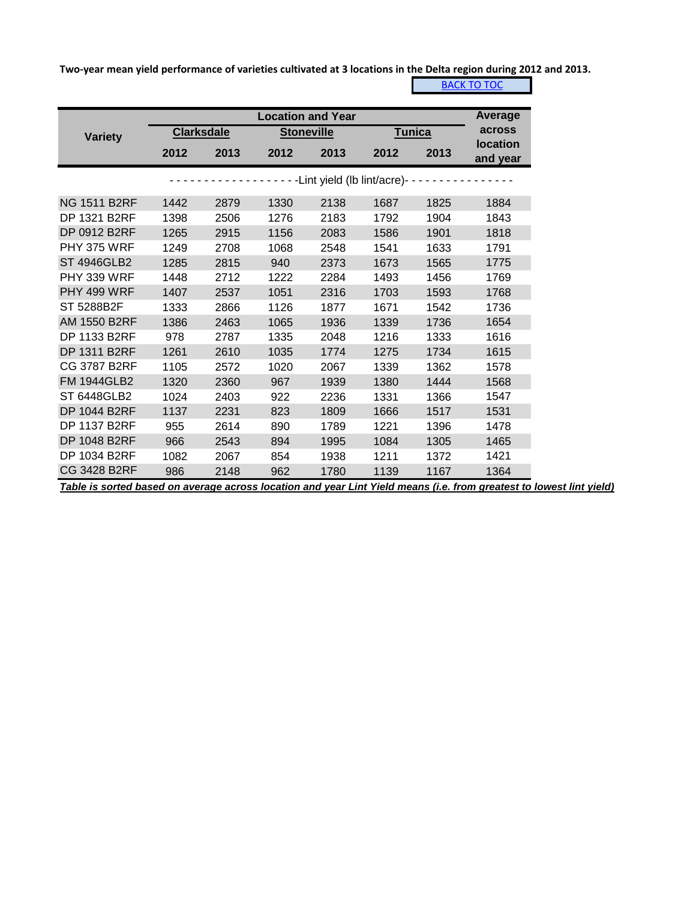**Two-year mean yield performance of varieties cultivated at 3 locations in the Delta region during 2012 and 2013.**

**[BACK TO TOC](#page-0-0)** 

|                     |      |                   | <b>Location and Year</b> |      |                                         |      | Average                     |
|---------------------|------|-------------------|--------------------------|------|-----------------------------------------|------|-----------------------------|
| <b>Variety</b>      |      | <b>Clarksdale</b> | <b>Stoneville</b>        |      | <b>Tunica</b>                           |      | across                      |
|                     | 2012 | 2013              | 2012                     | 2013 | 2012                                    | 2013 | <b>location</b><br>and year |
|                     |      |                   |                          |      | -------Lint yield (lb lint/acre)------- |      |                             |
| <b>NG 1511 B2RF</b> | 1442 | 2879              | 1330                     | 2138 | 1687                                    | 1825 | 1884                        |
| <b>DP 1321 B2RF</b> | 1398 | 2506              | 1276                     | 2183 | 1792                                    | 1904 | 1843                        |
| DP 0912 B2RF        | 1265 | 2915              | 1156                     | 2083 | 1586                                    | 1901 | 1818                        |
| <b>PHY 375 WRF</b>  | 1249 | 2708              | 1068                     | 2548 | 1541                                    | 1633 | 1791                        |
| <b>ST 4946GLB2</b>  | 1285 | 2815              | 940                      | 2373 | 1673                                    | 1565 | 1775                        |
| <b>PHY 339 WRF</b>  | 1448 | 2712              | 1222                     | 2284 | 1493                                    | 1456 | 1769                        |
| <b>PHY 499 WRF</b>  | 1407 | 2537              | 1051                     | 2316 | 1703                                    | 1593 | 1768                        |
| ST 5288B2F          | 1333 | 2866              | 1126                     | 1877 | 1671                                    | 1542 | 1736                        |
| <b>AM 1550 B2RF</b> | 1386 | 2463              | 1065                     | 1936 | 1339                                    | 1736 | 1654                        |
| <b>DP 1133 B2RF</b> | 978  | 2787              | 1335                     | 2048 | 1216                                    | 1333 | 1616                        |
| <b>DP 1311 B2RF</b> | 1261 | 2610              | 1035                     | 1774 | 1275                                    | 1734 | 1615                        |
| CG 3787 B2RF        | 1105 | 2572              | 1020                     | 2067 | 1339                                    | 1362 | 1578                        |
| <b>FM 1944GLB2</b>  | 1320 | 2360              | 967                      | 1939 | 1380                                    | 1444 | 1568                        |
| <b>ST 6448GLB2</b>  | 1024 | 2403              | 922                      | 2236 | 1331                                    | 1366 | 1547                        |
| <b>DP 1044 B2RF</b> | 1137 | 2231              | 823                      | 1809 | 1666                                    | 1517 | 1531                        |
| <b>DP 1137 B2RF</b> | 955  | 2614              | 890                      | 1789 | 1221                                    | 1396 | 1478                        |
| <b>DP 1048 B2RF</b> | 966  | 2543              | 894                      | 1995 | 1084                                    | 1305 | 1465                        |
| <b>DP 1034 B2RF</b> | 1082 | 2067              | 854                      | 1938 | 1211                                    | 1372 | 1421                        |
| <b>CG 3428 B2RF</b> | 986  | 2148              | 962                      | 1780 | 1139                                    | 1167 | 1364                        |

*Table is sorted based on average across location and year Lint Yield means (i.e. from greatest to lowest lint yield)*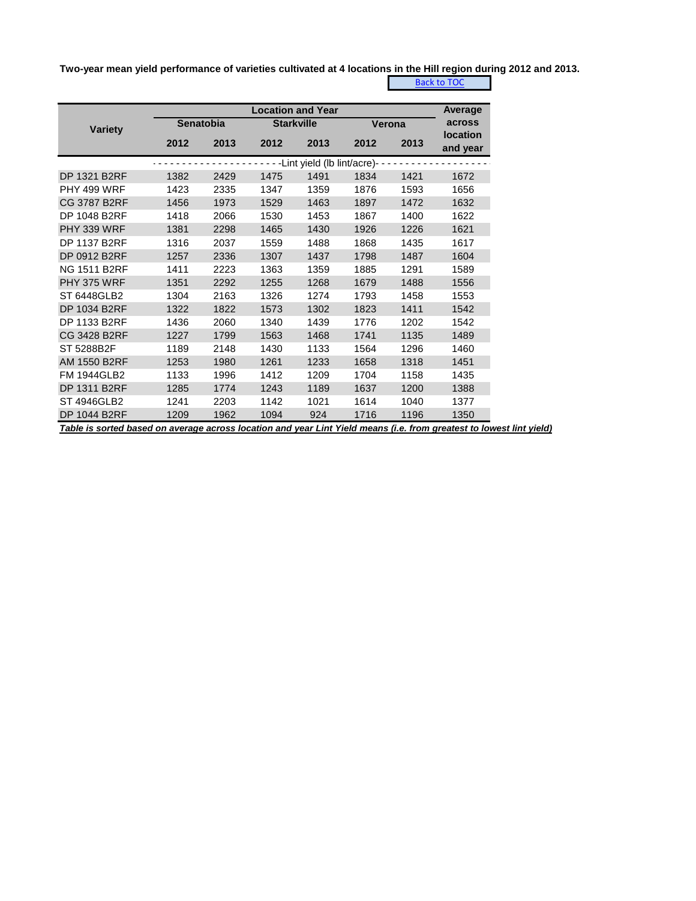**Two-year mean yield performance of varieties cultivated at 4 locations in the Hill region during 2012 and 2013.**

[Back to TOC](#page-0-0)

|                     |                  | <b>Location and Year</b> |                   |                             |      |        |                             |  |  |  |  |  |
|---------------------|------------------|--------------------------|-------------------|-----------------------------|------|--------|-----------------------------|--|--|--|--|--|
| <b>Variety</b>      | <b>Senatobia</b> |                          | <b>Starkville</b> |                             |      | Verona | across                      |  |  |  |  |  |
|                     | 2012             | 2013                     | 2012              | 2013                        | 2012 | 2013   | <b>location</b><br>and year |  |  |  |  |  |
|                     |                  |                          |                   | -Lint yield (lb lint/acre)- |      |        |                             |  |  |  |  |  |
| DP 1321 B2RF        | 1382             | 2429                     | 1475              | 1491                        | 1834 | 1421   | 1672                        |  |  |  |  |  |
| <b>PHY 499 WRF</b>  | 1423             | 2335                     | 1347              | 1359                        | 1876 | 1593   | 1656                        |  |  |  |  |  |
| CG 3787 B2RF        | 1456             | 1973                     | 1529              | 1463                        | 1897 | 1472   | 1632                        |  |  |  |  |  |
| DP 1048 B2RF        | 1418             | 2066                     | 1530              | 1453                        | 1867 | 1400   | 1622                        |  |  |  |  |  |
| <b>PHY 339 WRF</b>  | 1381             | 2298                     | 1465              | 1430                        | 1926 | 1226   | 1621                        |  |  |  |  |  |
| <b>DP 1137 B2RF</b> | 1316             | 2037                     | 1559              | 1488                        | 1868 | 1435   | 1617                        |  |  |  |  |  |
| DP 0912 B2RF        | 1257             | 2336                     | 1307              | 1437                        | 1798 | 1487   | 1604                        |  |  |  |  |  |
| <b>NG 1511 B2RF</b> | 1411             | 2223                     | 1363              | 1359                        | 1885 | 1291   | 1589                        |  |  |  |  |  |
| <b>PHY 375 WRF</b>  | 1351             | 2292                     | 1255              | 1268                        | 1679 | 1488   | 1556                        |  |  |  |  |  |
| ST 6448GLB2         | 1304             | 2163                     | 1326              | 1274                        | 1793 | 1458   | 1553                        |  |  |  |  |  |
| DP 1034 B2RF        | 1322             | 1822                     | 1573              | 1302                        | 1823 | 1411   | 1542                        |  |  |  |  |  |
| DP 1133 B2RF        | 1436             | 2060                     | 1340              | 1439                        | 1776 | 1202   | 1542                        |  |  |  |  |  |
| CG 3428 B2RF        | 1227             | 1799                     | 1563              | 1468                        | 1741 | 1135   | 1489                        |  |  |  |  |  |
| ST 5288B2F          | 1189             | 2148                     | 1430              | 1133                        | 1564 | 1296   | 1460                        |  |  |  |  |  |
| AM 1550 B2RF        | 1253             | 1980                     | 1261              | 1233                        | 1658 | 1318   | 1451                        |  |  |  |  |  |
| <b>FM 1944GLB2</b>  | 1133             | 1996                     | 1412              | 1209                        | 1704 | 1158   | 1435                        |  |  |  |  |  |
| DP 1311 B2RF        | 1285             | 1774                     | 1243              | 1189                        | 1637 | 1200   | 1388                        |  |  |  |  |  |
| ST 4946GLB2         | 1241             | 2203                     | 1142              | 1021                        | 1614 | 1040   | 1377                        |  |  |  |  |  |
| <b>DP 1044 B2RF</b> | 1209             | 1962                     | 1094              | 924                         | 1716 | 1196   | 1350                        |  |  |  |  |  |

*Table is sorted based on average across location and year Lint Yield means (i.e. from greatest to lowest lint yield)*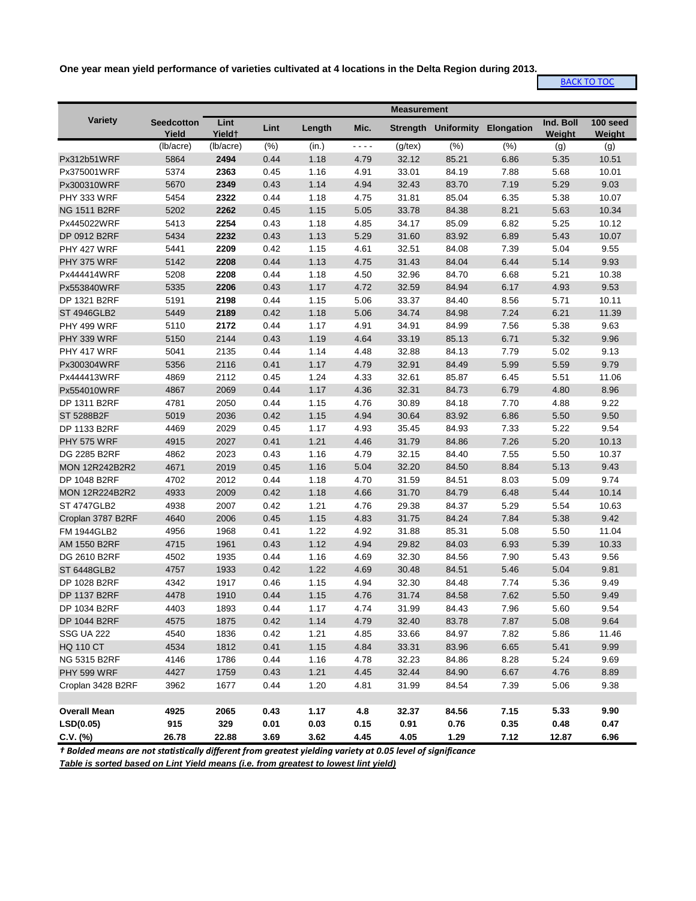**One year mean yield performance of varieties cultivated at 4 locations in the Delta Region during 2013.**

## [BACK TO TOC](#page-0-0)

|                       |                            |                            |      |        |      | <b>Measurement</b> |                                |      |                     |                    |
|-----------------------|----------------------------|----------------------------|------|--------|------|--------------------|--------------------------------|------|---------------------|--------------------|
| Variety               | <b>Seedcotton</b><br>Yield | Lint<br>Yield <sup>+</sup> | Lint | Length | Mic. |                    | Strength Uniformity Elongation |      | Ind. Boll<br>Weight | 100 seed<br>Weight |
|                       | (lb/acre)                  | (lb/acre)                  | (%)  | (in.)  | ---- | $(g$ /tex $)$      | (%)                            | (% ) | (g)                 | (g)                |
| Px312b51WRF           | 5864                       | 2494                       | 0.44 | 1.18   | 4.79 | 32.12              | 85.21                          | 6.86 | 5.35                | 10.51              |
| Px375001WRF           | 5374                       | 2363                       | 0.45 | 1.16   | 4.91 | 33.01              | 84.19                          | 7.88 | 5.68                | 10.01              |
| Px300310WRF           | 5670                       | 2349                       | 0.43 | 1.14   | 4.94 | 32.43              | 83.70                          | 7.19 | 5.29                | 9.03               |
| PHY 333 WRF           | 5454                       | 2322                       | 0.44 | 1.18   | 4.75 | 31.81              | 85.04                          | 6.35 | 5.38                | 10.07              |
| <b>NG 1511 B2RF</b>   | 5202                       | 2262                       | 0.45 | 1.15   | 5.05 | 33.78              | 84.38                          | 8.21 | 5.63                | 10.34              |
| Px445022WRF           | 5413                       | 2254                       | 0.43 | 1.18   | 4.85 | 34.17              | 85.09                          | 6.82 | 5.25                | 10.12              |
| DP 0912 B2RF          | 5434                       | 2232                       | 0.43 | 1.13   | 5.29 | 31.60              | 83.92                          | 6.89 | 5.43                | 10.07              |
| PHY 427 WRF           | 5441                       | 2209                       | 0.42 | 1.15   | 4.61 | 32.51              | 84.08                          | 7.39 | 5.04                | 9.55               |
| PHY 375 WRF           | 5142                       | 2208                       | 0.44 | 1.13   | 4.75 | 31.43              | 84.04                          | 6.44 | 5.14                | 9.93               |
| Px444414WRF           | 5208                       | 2208                       | 0.44 | 1.18   | 4.50 | 32.96              | 84.70                          | 6.68 | 5.21                | 10.38              |
| Px553840WRF           | 5335                       | 2206                       | 0.43 | 1.17   | 4.72 | 32.59              | 84.94                          | 6.17 | 4.93                | 9.53               |
| DP 1321 B2RF          | 5191                       | 2198                       | 0.44 | 1.15   | 5.06 | 33.37              | 84.40                          | 8.56 | 5.71                | 10.11              |
| <b>ST 4946GLB2</b>    | 5449                       | 2189                       | 0.42 | 1.18   | 5.06 | 34.74              | 84.98                          | 7.24 | 6.21                | 11.39              |
| <b>PHY 499 WRF</b>    | 5110                       | 2172                       | 0.44 | 1.17   | 4.91 | 34.91              | 84.99                          | 7.56 | 5.38                | 9.63               |
| PHY 339 WRF           | 5150                       | 2144                       | 0.43 | 1.19   | 4.64 | 33.19              | 85.13                          | 6.71 | 5.32                | 9.96               |
| PHY 417 WRF           | 5041                       | 2135                       | 0.44 | 1.14   | 4.48 | 32.88              | 84.13                          | 7.79 | 5.02                | 9.13               |
| Px300304WRF           | 5356                       | 2116                       | 0.41 | 1.17   | 4.79 | 32.91              | 84.49                          | 5.99 | 5.59                | 9.79               |
| Px444413WRF           | 4869                       | 2112                       | 0.45 | 1.24   | 4.33 | 32.61              | 85.87                          | 6.45 | 5.51                | 11.06              |
| Px554010WRF           | 4867                       | 2069                       | 0.44 | 1.17   | 4.36 | 32.31              | 84.73                          | 6.79 | 4.80                | 8.96               |
| DP 1311 B2RF          | 4781                       | 2050                       | 0.44 | 1.15   | 4.76 | 30.89              | 84.18                          | 7.70 | 4.88                | 9.22               |
| ST 5288B2F            | 5019                       | 2036                       | 0.42 | 1.15   | 4.94 | 30.64              | 83.92                          | 6.86 | 5.50                | 9.50               |
| DP 1133 B2RF          | 4469                       | 2029                       | 0.45 | 1.17   | 4.93 | 35.45              | 84.93                          | 7.33 | 5.22                | 9.54               |
| <b>PHY 575 WRF</b>    | 4915                       | 2027                       | 0.41 | 1.21   | 4.46 | 31.79              | 84.86                          | 7.26 | 5.20                | 10.13              |
| DG 2285 B2RF          | 4862                       | 2023                       | 0.43 | 1.16   | 4.79 | 32.15              | 84.40                          | 7.55 | 5.50                | 10.37              |
| <b>MON 12R242B2R2</b> | 4671                       | 2019                       | 0.45 | 1.16   | 5.04 | 32.20              | 84.50                          | 8.84 | 5.13                | 9.43               |
| DP 1048 B2RF          | 4702                       | 2012                       | 0.44 | 1.18   | 4.70 | 31.59              | 84.51                          | 8.03 | 5.09                | 9.74               |
| <b>MON 12R224B2R2</b> | 4933                       | 2009                       | 0.42 | 1.18   | 4.66 | 31.70              | 84.79                          | 6.48 | 5.44                | 10.14              |
| <b>ST 4747GLB2</b>    | 4938                       | 2007                       | 0.42 | 1.21   | 4.76 | 29.38              | 84.37                          | 5.29 | 5.54                | 10.63              |
| Croplan 3787 B2RF     | 4640                       | 2006                       | 0.45 | 1.15   | 4.83 | 31.75              | 84.24                          | 7.84 | 5.38                | 9.42               |
| <b>FM 1944GLB2</b>    | 4956                       | 1968                       | 0.41 | 1.22   | 4.92 | 31.88              | 85.31                          | 5.08 | 5.50                | 11.04              |
| AM 1550 B2RF          | 4715                       | 1961                       | 0.43 | 1.12   | 4.94 | 29.82              | 84.03                          | 6.93 | 5.39                | 10.33              |
| DG 2610 B2RF          | 4502                       | 1935                       | 0.44 | 1.16   | 4.69 | 32.30              | 84.56                          | 7.90 | 5.43                | 9.56               |
| ST 6448GLB2           | 4757                       | 1933                       | 0.42 | 1.22   | 4.69 | 30.48              | 84.51                          | 5.46 | 5.04                | 9.81               |
| DP 1028 B2RF          | 4342                       | 1917                       | 0.46 | 1.15   | 4.94 | 32.30              | 84.48                          | 7.74 | 5.36                | 9.49               |
| <b>DP 1137 B2RF</b>   | 4478                       | 1910                       | 0.44 | 1.15   | 4.76 | 31.74              | 84.58                          | 7.62 | 5.50                | 9.49               |
| DP 1034 B2RF          | 4403                       | 1893                       | 0.44 | 1.17   | 4.74 | 31.99              | 84.43                          | 7.96 | 5.60                | 9.54               |
| DP 1044 B2RF          | 4575                       | 1875                       | 0.42 | 1.14   | 4.79 | 32.40              | 83.78                          | 7.87 | 5.08                | 9.64               |
| <b>SSG UA 222</b>     | 4540                       | 1836                       | 0.42 | 1.21   | 4.85 | 33.66              | 84.97                          | 7.82 | 5.86                | 11.46              |
| <b>HQ 110 CT</b>      | 4534                       | 1812                       | 0.41 | 1.15   | 4.84 | 33.31              | 83.96                          | 6.65 | 5.41                | 9.99               |
| NG 5315 B2RF          | 4146                       | 1786                       | 0.44 | 1.16   | 4.78 | 32.23              | 84.86                          | 8.28 | 5.24                | 9.69               |
| PHY 599 WRF           | 4427                       | 1759                       | 0.43 | 1.21   | 4.45 | 32.44              | 84.90                          | 6.67 | 4.76                | 8.89               |
| Croplan 3428 B2RF     | 3962                       | 1677                       | 0.44 | 1.20   | 4.81 | 31.99              | 84.54                          | 7.39 | 5.06                | 9.38               |
|                       |                            |                            |      |        |      |                    |                                |      |                     |                    |
| <b>Overall Mean</b>   | 4925                       | 2065                       | 0.43 | 1.17   | 4.8  | 32.37              | 84.56                          | 7.15 | 5.33                | 9.90               |
| LSD(0.05)             | 915                        | 329                        | 0.01 | 0.03   | 0.15 | 0.91               | 0.76                           | 0.35 | 0.48                | 0.47               |
| $C.V.$ (%)            | 26.78                      | 22.88                      | 3.69 | 3.62   | 4.45 | 4.05               | 1.29                           | 7.12 | 12.87               | 6.96               |

*† Bolded means are not statistically different from greatest yielding variety at 0.05 level of significance*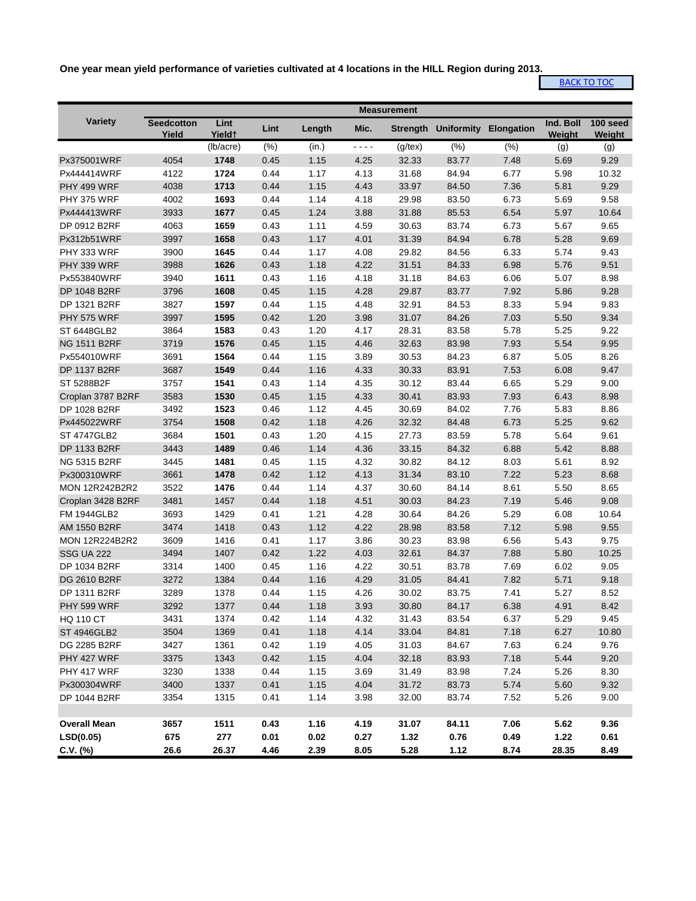**One year mean yield performance of varieties cultivated at 4 locations in the HILL Region during 2013.**

**[BACK TO TOC](#page-0-0)** 

|                       |                            |                            |      |        |        | <b>Measurement</b> |                                |      |                     |                    |
|-----------------------|----------------------------|----------------------------|------|--------|--------|--------------------|--------------------------------|------|---------------------|--------------------|
| Variety               | <b>Seedcotton</b><br>Yield | Lint<br>Yield <sup>+</sup> | Lint | Length | Mic.   |                    | Strength Uniformity Elongation |      | Ind. Boll<br>Weight | 100 seed<br>Weight |
|                       |                            | (lb/acre)                  | (% ) | (in.)  | $   -$ | $(g$ /tex $)$      | (% )                           | (% ) | (g)                 | (g)                |
| Px375001WRF           | 4054                       | 1748                       | 0.45 | 1.15   | 4.25   | 32.33              | 83.77                          | 7.48 | 5.69                | 9.29               |
| Px444414WRF           | 4122                       | 1724                       | 0.44 | 1.17   | 4.13   | 31.68              | 84.94                          | 6.77 | 5.98                | 10.32              |
| PHY 499 WRF           | 4038                       | 1713                       | 0.44 | 1.15   | 4.43   | 33.97              | 84.50                          | 7.36 | 5.81                | 9.29               |
| <b>PHY 375 WRF</b>    | 4002                       | 1693                       | 0.44 | 1.14   | 4.18   | 29.98              | 83.50                          | 6.73 | 5.69                | 9.58               |
| Px444413WRF           | 3933                       | 1677                       | 0.45 | 1.24   | 3.88   | 31.88              | 85.53                          | 6.54 | 5.97                | 10.64              |
| DP 0912 B2RF          | 4063                       | 1659                       | 0.43 | 1.11   | 4.59   | 30.63              | 83.74                          | 6.73 | 5.67                | 9.65               |
| Px312b51WRF           | 3997                       | 1658                       | 0.43 | 1.17   | 4.01   | 31.39              | 84.94                          | 6.78 | 5.28                | 9.69               |
| PHY 333 WRF           | 3900                       | 1645                       | 0.44 | 1.17   | 4.08   | 29.82              | 84.56                          | 6.33 | 5.74                | 9.43               |
| PHY 339 WRF           | 3988                       | 1626                       | 0.43 | 1.18   | 4.22   | 31.51              | 84.33                          | 6.98 | 5.76                | 9.51               |
| Px553840WRF           | 3940                       | 1611                       | 0.43 | 1.16   | 4.18   | 31.18              | 84.63                          | 6.06 | 5.07                | 8.98               |
| DP 1048 B2RF          | 3796                       | 1608                       | 0.45 | 1.15   | 4.28   | 29.87              | 83.77                          | 7.92 | 5.86                | 9.28               |
| DP 1321 B2RF          | 3827                       | 1597                       | 0.44 | 1.15   | 4.48   | 32.91              | 84.53                          | 8.33 | 5.94                | 9.83               |
| <b>PHY 575 WRF</b>    | 3997                       | 1595                       | 0.42 | 1.20   | 3.98   | 31.07              | 84.26                          | 7.03 | 5.50                | 9.34               |
| ST 6448GLB2           | 3864                       | 1583                       | 0.43 | 1.20   | 4.17   | 28.31              | 83.58                          | 5.78 | 5.25                | 9.22               |
| <b>NG 1511 B2RF</b>   | 3719                       | 1576                       | 0.45 | 1.15   | 4.46   | 32.63              | 83.98                          | 7.93 | 5.54                | 9.95               |
| Px554010WRF           | 3691                       | 1564                       | 0.44 | 1.15   | 3.89   | 30.53              | 84.23                          | 6.87 | 5.05                | 8.26               |
| <b>DP 1137 B2RF</b>   | 3687                       | 1549                       | 0.44 | 1.16   | 4.33   | 30.33              | 83.91                          | 7.53 | 6.08                | 9.47               |
| ST 5288B2F            | 3757                       | 1541                       | 0.43 | 1.14   | 4.35   | 30.12              | 83.44                          | 6.65 | 5.29                | 9.00               |
| Croplan 3787 B2RF     | 3583                       | 1530                       | 0.45 | 1.15   | 4.33   | 30.41              | 83.93                          | 7.93 | 6.43                | 8.98               |
| DP 1028 B2RF          | 3492                       | 1523                       | 0.46 | 1.12   | 4.45   | 30.69              | 84.02                          | 7.76 | 5.83                | 8.86               |
| Px445022WRF           | 3754                       | 1508                       | 0.42 | 1.18   | 4.26   | 32.32              | 84.48                          | 6.73 | 5.25                | 9.62               |
| ST 4747GLB2           | 3684                       | 1501                       | 0.43 | 1.20   | 4.15   | 27.73              | 83.59                          | 5.78 | 5.64                | 9.61               |
| DP 1133 B2RF          | 3443                       | 1489                       | 0.46 | 1.14   | 4.36   | 33.15              | 84.32                          | 6.88 | 5.42                | 8.88               |
| <b>NG 5315 B2RF</b>   | 3445                       | 1481                       | 0.45 | 1.15   | 4.32   | 30.82              | 84.12                          | 8.03 | 5.61                | 8.92               |
| Px300310WRF           | 3661                       | 1478                       | 0.42 | 1.12   | 4.13   | 31.34              | 83.10                          | 7.22 | 5.23                | 8.68               |
| <b>MON 12R242B2R2</b> | 3522                       | 1476                       | 0.44 | 1.14   | 4.37   | 30.60              | 84.14                          | 8.61 | 5.50                | 8.65               |
| Croplan 3428 B2RF     | 3481                       | 1457                       | 0.44 | 1.18   | 4.51   | 30.03              | 84.23                          | 7.19 | 5.46                | 9.08               |
| FM 1944GLB2           | 3693                       | 1429                       | 0.41 | 1.21   | 4.28   | 30.64              | 84.26                          | 5.29 | 6.08                | 10.64              |
| AM 1550 B2RF          | 3474                       | 1418                       | 0.43 | 1.12   | 4.22   | 28.98              | 83.58                          | 7.12 | 5.98                | 9.55               |
| <b>MON 12R224B2R2</b> | 3609                       | 1416                       | 0.41 | 1.17   | 3.86   | 30.23              | 83.98                          | 6.56 | 5.43                | 9.75               |
| <b>SSG UA 222</b>     | 3494                       | 1407                       | 0.42 | 1.22   | 4.03   | 32.61              | 84.37                          | 7.88 | 5.80                | 10.25              |
| DP 1034 B2RF          | 3314                       | 1400                       | 0.45 | 1.16   | 4.22   | 30.51              | 83.78                          | 7.69 | 6.02                | 9.05               |
| DG 2610 B2RF          | 3272                       | 1384                       | 0.44 | 1.16   | 4.29   | 31.05              | 84.41                          | 7.82 | 5.71                | 9.18               |
| DP 1311 B2RF          | 3289                       | 1378                       | 0.44 | 1.15   | 4.26   | 30.02              | 83.75                          | 7.41 | 5.27                | 8.52               |
| <b>PHY 599 WRF</b>    | 3292                       | 1377                       | 0.44 | 1.18   | 3.93   | 30.80              | 84.17                          | 6.38 | 4.91                | 8.42               |
| <b>HQ 110 CT</b>      | 3431                       | 1374                       | 0.42 | 1.14   | 4.32   | 31.43              | 83.54                          | 6.37 | 5.29                | 9.45               |
| <b>ST 4946GLB2</b>    | 3504                       | 1369                       | 0.41 | 1.18   | 4.14   | 33.04              | 84.81                          | 7.18 | 6.27                | 10.80              |
| DG 2285 B2RF          | 3427                       | 1361                       | 0.42 | 1.19   | 4.05   | 31.03              | 84.67                          | 7.63 | 6.24                | 9.76               |
| PHY 427 WRF           | 3375                       | 1343                       | 0.42 | 1.15   | 4.04   | 32.18              | 83.93                          | 7.18 | 5.44                | 9.20               |
| PHY 417 WRF           | 3230                       | 1338                       | 0.44 | 1.15   | 3.69   | 31.49              | 83.98                          | 7.24 | 5.26                | 8.30               |
| Px300304WRF           | 3400                       | 1337                       | 0.41 | 1.15   | 4.04   | 31.72              | 83.73                          | 5.74 | 5.60                | 9.32               |
| DP 1044 B2RF          | 3354                       | 1315                       | 0.41 | 1.14   | 3.98   | 32.00              | 83.74                          | 7.52 | 5.26                | 9.00               |
|                       |                            |                            |      |        |        |                    |                                |      |                     |                    |
| <b>Overall Mean</b>   | 3657                       | 1511                       | 0.43 | 1.16   | 4.19   | 31.07              | 84.11                          | 7.06 | 5.62                | 9.36               |
| LSD(0.05)             | 675                        | 277                        | 0.01 | 0.02   | 0.27   | 1.32               | 0.76                           | 0.49 | 1.22                | 0.61               |
| $C.V.$ (%)            | 26.6                       | 26.37                      | 4.46 | 2.39   | 8.05   | 5.28               | 1.12                           | 8.74 | 28.35               | 8.49               |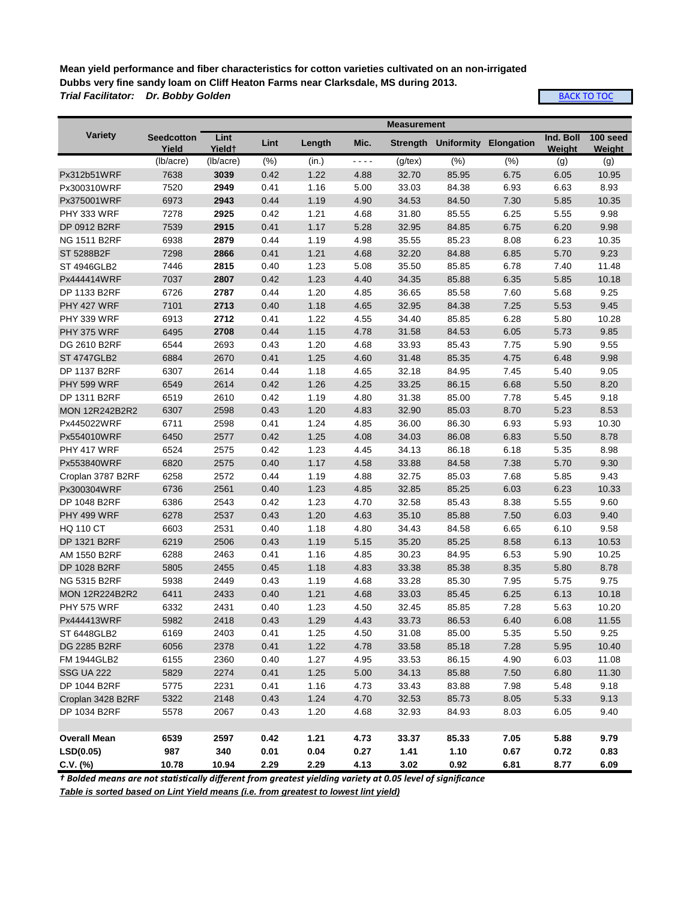**Mean yield performance and fiber characteristics for cotton varieties cultivated on an non-irrigated Dubbs very fine sandy loam on Cliff Heaton Farms near Clarksdale, MS during 2013.** *Trial Facilitator: Dr. Bobby Golden*

**[BACK TO TOC](#page-0-0)** 

|                       |                            |                            |      |        |         | <b>Measurement</b> |                                |      |                     |                    |
|-----------------------|----------------------------|----------------------------|------|--------|---------|--------------------|--------------------------------|------|---------------------|--------------------|
| <b>Variety</b>        | <b>Seedcotton</b><br>Yield | Lint<br>Yield <sup>+</sup> | Lint | Length | Mic.    |                    | Strength Uniformity Elongation |      | Ind. Boll<br>Weight | 100 seed<br>Weight |
|                       | (lb/acre)                  | (lb/acre)                  | (% ) | (in.)  | - - - - | $(g$ /tex $)$      | (% )                           | (% ) | (g)                 | (g)                |
| Px312b51WRF           | 7638                       | 3039                       | 0.42 | 1.22   | 4.88    | 32.70              | 85.95                          | 6.75 | 6.05                | 10.95              |
| Px300310WRF           | 7520                       | 2949                       | 0.41 | 1.16   | 5.00    | 33.03              | 84.38                          | 6.93 | 6.63                | 8.93               |
| Px375001WRF           | 6973                       | 2943                       | 0.44 | 1.19   | 4.90    | 34.53              | 84.50                          | 7.30 | 5.85                | 10.35              |
| PHY 333 WRF           | 7278                       | 2925                       | 0.42 | 1.21   | 4.68    | 31.80              | 85.55                          | 6.25 | 5.55                | 9.98               |
| DP 0912 B2RF          | 7539                       | 2915                       | 0.41 | 1.17   | 5.28    | 32.95              | 84.85                          | 6.75 | 6.20                | 9.98               |
| <b>NG 1511 B2RF</b>   | 6938                       | 2879                       | 0.44 | 1.19   | 4.98    | 35.55              | 85.23                          | 8.08 | 6.23                | 10.35              |
| ST 5288B2F            | 7298                       | 2866                       | 0.41 | 1.21   | 4.68    | 32.20              | 84.88                          | 6.85 | 5.70                | 9.23               |
| ST 4946GLB2           | 7446                       | 2815                       | 0.40 | 1.23   | 5.08    | 35.50              | 85.85                          | 6.78 | 7.40                | 11.48              |
| Px444414WRF           | 7037                       | 2807                       | 0.42 | 1.23   | 4.40    | 34.35              | 85.88                          | 6.35 | 5.85                | 10.18              |
| DP 1133 B2RF          | 6726                       | 2787                       | 0.44 | 1.20   | 4.85    | 36.65              | 85.58                          | 7.60 | 5.68                | 9.25               |
| PHY 427 WRF           | 7101                       | 2713                       | 0.40 | 1.18   | 4.65    | 32.95              | 84.38                          | 7.25 | 5.53                | 9.45               |
| PHY 339 WRF           | 6913                       | 2712                       | 0.41 | 1.22   | 4.55    | 34.40              | 85.85                          | 6.28 | 5.80                | 10.28              |
| PHY 375 WRF           | 6495                       | 2708                       | 0.44 | 1.15   | 4.78    | 31.58              | 84.53                          | 6.05 | 5.73                | 9.85               |
| DG 2610 B2RF          | 6544                       | 2693                       | 0.43 | 1.20   | 4.68    | 33.93              | 85.43                          | 7.75 | 5.90                | 9.55               |
| <b>ST 4747GLB2</b>    | 6884                       | 2670                       | 0.41 | 1.25   | 4.60    | 31.48              | 85.35                          | 4.75 | 6.48                | 9.98               |
| <b>DP 1137 B2RF</b>   | 6307                       | 2614                       | 0.44 | 1.18   | 4.65    | 32.18              | 84.95                          | 7.45 | 5.40                | 9.05               |
| PHY 599 WRF           | 6549                       | 2614                       | 0.42 | 1.26   | 4.25    | 33.25              | 86.15                          | 6.68 | 5.50                | 8.20               |
| DP 1311 B2RF          | 6519                       | 2610                       | 0.42 | 1.19   | 4.80    | 31.38              | 85.00                          | 7.78 | 5.45                | 9.18               |
| <b>MON 12R242B2R2</b> | 6307                       | 2598                       | 0.43 | 1.20   | 4.83    | 32.90              | 85.03                          | 8.70 | 5.23                | 8.53               |
| Px445022WRF           | 6711                       | 2598                       | 0.41 | 1.24   | 4.85    | 36.00              | 86.30                          | 6.93 | 5.93                | 10.30              |
| Px554010WRF           | 6450                       | 2577                       | 0.42 | 1.25   | 4.08    | 34.03              | 86.08                          | 6.83 | 5.50                | 8.78               |
| PHY 417 WRF           | 6524                       | 2575                       | 0.42 | 1.23   | 4.45    | 34.13              | 86.18                          | 6.18 | 5.35                | 8.98               |
| Px553840WRF           | 6820                       | 2575                       | 0.40 | 1.17   | 4.58    | 33.88              | 84.58                          | 7.38 | 5.70                | 9.30               |
| Croplan 3787 B2RF     | 6258                       | 2572                       | 0.44 | 1.19   | 4.88    | 32.75              | 85.03                          | 7.68 | 5.85                | 9.43               |
| Px300304WRF           | 6736                       | 2561                       | 0.40 | 1.23   | 4.85    | 32.85              | 85.25                          | 6.03 | 6.23                | 10.33              |
| DP 1048 B2RF          | 6386                       | 2543                       | 0.42 | 1.23   | 4.70    | 32.58              | 85.43                          | 8.38 | 5.55                | 9.60               |
| PHY 499 WRF           | 6278                       | 2537                       | 0.43 | 1.20   | 4.63    | 35.10              | 85.88                          | 7.50 | 6.03                | 9.40               |
| <b>HQ 110 CT</b>      | 6603                       | 2531                       | 0.40 | 1.18   | 4.80    | 34.43              | 84.58                          | 6.65 | 6.10                | 9.58               |
| DP 1321 B2RF          | 6219                       | 2506                       | 0.43 | 1.19   | 5.15    | 35.20              | 85.25                          | 8.58 | 6.13                | 10.53              |
| AM 1550 B2RF          | 6288                       | 2463                       | 0.41 | 1.16   | 4.85    | 30.23              | 84.95                          | 6.53 | 5.90                | 10.25              |
| DP 1028 B2RF          | 5805                       | 2455                       | 0.45 | 1.18   | 4.83    | 33.38              | 85.38                          | 8.35 | 5.80                | 8.78               |
| NG 5315 B2RF          | 5938                       | 2449                       | 0.43 | 1.19   | 4.68    | 33.28              | 85.30                          | 7.95 | 5.75                | 9.75               |
| <b>MON 12R224B2R2</b> | 6411                       | 2433                       | 0.40 | 1.21   | 4.68    | 33.03              | 85.45                          | 6.25 | 6.13                | 10.18              |
| <b>PHY 575 WRF</b>    | 6332                       | 2431                       | 0.40 | 1.23   | 4.50    | 32.45              | 85.85                          | 7.28 | 5.63                | 10.20              |
| Px444413WRF           | 5982                       | 2418                       | 0.43 | 1.29   | 4.43    | 33.73              | 86.53                          | 6.40 | 6.08                | 11.55              |
| ST 6448GLB2           | 6169                       | 2403                       | 0.41 | 1.25   | 4.50    | 31.08              | 85.00                          | 5.35 | 5.50                | 9.25               |
| DG 2285 B2RF          | 6056                       | 2378                       | 0.41 | 1.22   | 4.78    | 33.58              | 85.18                          | 7.28 | 5.95                | 10.40              |
| <b>FM 1944GLB2</b>    | 6155                       | 2360                       | 0.40 | 1.27   | 4.95    | 33.53              | 86.15                          | 4.90 | 6.03                | 11.08              |
| <b>SSG UA 222</b>     | 5829                       | 2274                       | 0.41 | 1.25   | 5.00    | 34.13              | 85.88                          | 7.50 | 6.80                | 11.30              |
| DP 1044 B2RF          | 5775                       | 2231                       | 0.41 | 1.16   | 4.73    | 33.43              | 83.88                          | 7.98 | 5.48                | 9.18               |
| Croplan 3428 B2RF     | 5322                       | 2148                       | 0.43 | 1.24   | 4.70    | 32.53              | 85.73                          | 8.05 | 5.33                | 9.13               |
| DP 1034 B2RF          | 5578                       | 2067                       | 0.43 | 1.20   | 4.68    | 32.93              | 84.93                          | 8.03 | 6.05                | 9.40               |
|                       |                            |                            |      |        |         |                    |                                |      |                     |                    |
| <b>Overall Mean</b>   | 6539                       | 2597                       | 0.42 | 1.21   | 4.73    | 33.37              | 85.33                          | 7.05 | 5.88                | 9.79               |
| LSD(0.05)             | 987                        | 340                        | 0.01 | 0.04   | 0.27    | 1.41               | 1.10                           | 0.67 | 0.72                | 0.83               |
| $C.V.$ (%)            | 10.78                      | 10.94                      | 2.29 | 2.29   | 4.13    | 3.02               | 0.92                           | 6.81 | 8.77                | 6.09               |

*† Bolded means are not statistically different from greatest yielding variety at 0.05 level of significance*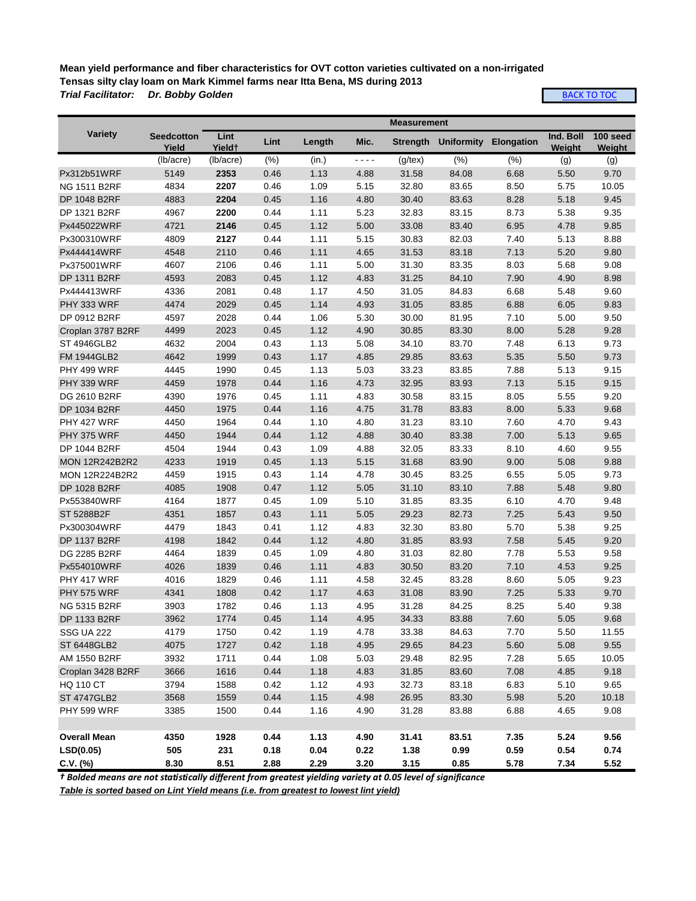**Mean yield performance and fiber characteristics for OVT cotton varieties cultivated on a non-irrigated Tensas silty clay loam on Mark Kimmel farms near Itta Bena, MS during 2013** *Trial Facilitator: Dr. Bobby Golden*

**[BACK TO TOC](#page-0-0)** 

|                       |                            |                            |      |        |           | <b>Measurement</b> |       |                              |                     |                    |
|-----------------------|----------------------------|----------------------------|------|--------|-----------|--------------------|-------|------------------------------|---------------------|--------------------|
| <b>Variety</b>        | <b>Seedcotton</b><br>Yield | Lint<br>Yield <sup>+</sup> | Lint | Length | Mic.      | Strength           |       | <b>Uniformity Elongation</b> | Ind. Boll<br>Weight | 100 seed<br>Weight |
|                       | (lb/acre)                  | (lb/acre)                  | (%)  | (in.)  | $- - - -$ | $(g$ /tex $)$      | (% )  | (% )                         | (g)                 | (g)                |
| Px312b51WRF           | 5149                       | 2353                       | 0.46 | 1.13   | 4.88      | 31.58              | 84.08 | 6.68                         | 5.50                | 9.70               |
| <b>NG 1511 B2RF</b>   | 4834                       | 2207                       | 0.46 | 1.09   | 5.15      | 32.80              | 83.65 | 8.50                         | 5.75                | 10.05              |
| DP 1048 B2RF          | 4883                       | 2204                       | 0.45 | 1.16   | 4.80      | 30.40              | 83.63 | 8.28                         | 5.18                | 9.45               |
| DP 1321 B2RF          | 4967                       | 2200                       | 0.44 | 1.11   | 5.23      | 32.83              | 83.15 | 8.73                         | 5.38                | 9.35               |
| Px445022WRF           | 4721                       | 2146                       | 0.45 | 1.12   | 5.00      | 33.08              | 83.40 | 6.95                         | 4.78                | 9.85               |
| Px300310WRF           | 4809                       | 2127                       | 0.44 | 1.11   | 5.15      | 30.83              | 82.03 | 7.40                         | 5.13                | 8.88               |
| Px444414WRF           | 4548                       | 2110                       | 0.46 | 1.11   | 4.65      | 31.53              | 83.18 | 7.13                         | 5.20                | 9.80               |
| Px375001WRF           | 4607                       | 2106                       | 0.46 | 1.11   | 5.00      | 31.30              | 83.35 | 8.03                         | 5.68                | 9.08               |
| DP 1311 B2RF          | 4593                       | 2083                       | 0.45 | 1.12   | 4.83      | 31.25              | 84.10 | 7.90                         | 4.90                | 8.98               |
| Px444413WRF           | 4336                       | 2081                       | 0.48 | 1.17   | 4.50      | 31.05              | 84.83 | 6.68                         | 5.48                | 9.60               |
| PHY 333 WRF           | 4474                       | 2029                       | 0.45 | 1.14   | 4.93      | 31.05              | 83.85 | 6.88                         | 6.05                | 9.83               |
| DP 0912 B2RF          | 4597                       | 2028                       | 0.44 | 1.06   | 5.30      | 30.00              | 81.95 | 7.10                         | 5.00                | 9.50               |
| Croplan 3787 B2RF     | 4499                       | 2023                       | 0.45 | 1.12   | 4.90      | 30.85              | 83.30 | 8.00                         | 5.28                | 9.28               |
| ST 4946GLB2           | 4632                       | 2004                       | 0.43 | 1.13   | 5.08      | 34.10              | 83.70 | 7.48                         | 6.13                | 9.73               |
| <b>FM 1944GLB2</b>    | 4642                       | 1999                       | 0.43 | 1.17   | 4.85      | 29.85              | 83.63 | 5.35                         | 5.50                | 9.73               |
| PHY 499 WRF           | 4445                       | 1990                       | 0.45 | 1.13   | 5.03      | 33.23              | 83.85 | 7.88                         | 5.13                | 9.15               |
| PHY 339 WRF           | 4459                       | 1978                       | 0.44 | 1.16   | 4.73      | 32.95              | 83.93 | 7.13                         | 5.15                | 9.15               |
| DG 2610 B2RF          | 4390                       | 1976                       | 0.45 | 1.11   | 4.83      | 30.58              | 83.15 | 8.05                         | 5.55                | 9.20               |
| DP 1034 B2RF          | 4450                       | 1975                       | 0.44 | 1.16   | 4.75      | 31.78              | 83.83 | 8.00                         | 5.33                | 9.68               |
| PHY 427 WRF           | 4450                       | 1964                       | 0.44 | 1.10   | 4.80      | 31.23              | 83.10 | 7.60                         | 4.70                | 9.43               |
| PHY 375 WRF           | 4450                       | 1944                       | 0.44 | 1.12   | 4.88      | 30.40              | 83.38 | 7.00                         | 5.13                | 9.65               |
| DP 1044 B2RF          | 4504                       | 1944                       | 0.43 | 1.09   | 4.88      | 32.05              | 83.33 | 8.10                         | 4.60                | 9.55               |
| <b>MON 12R242B2R2</b> | 4233                       | 1919                       | 0.45 | 1.13   | 5.15      | 31.68              | 83.90 | 9.00                         | 5.08                | 9.88               |
| <b>MON 12R224B2R2</b> | 4459                       | 1915                       | 0.43 | 1.14   | 4.78      | 30.45              | 83.25 | 6.55                         | 5.05                | 9.73               |
| DP 1028 B2RF          | 4085                       | 1908                       | 0.47 | 1.12   | 5.05      | 31.10              | 83.10 | 7.88                         | 5.48                | 9.80               |
| Px553840WRF           | 4164                       | 1877                       | 0.45 | 1.09   | 5.10      | 31.85              | 83.35 | 6.10                         | 4.70                | 9.48               |
| ST 5288B2F            | 4351                       | 1857                       | 0.43 | 1.11   | 5.05      | 29.23              | 82.73 | 7.25                         | 5.43                | 9.50               |
| Px300304WRF           | 4479                       | 1843                       | 0.41 | 1.12   | 4.83      | 32.30              | 83.80 | 5.70                         | 5.38                | 9.25               |
| <b>DP 1137 B2RF</b>   | 4198                       | 1842                       | 0.44 | 1.12   | 4.80      | 31.85              | 83.93 | 7.58                         | 5.45                | 9.20               |
| DG 2285 B2RF          | 4464                       | 1839                       | 0.45 | 1.09   | 4.80      | 31.03              | 82.80 | 7.78                         | 5.53                | 9.58               |
| Px554010WRF           | 4026                       | 1839                       | 0.46 | 1.11   | 4.83      | 30.50              | 83.20 | 7.10                         | 4.53                | 9.25               |
| PHY 417 WRF           | 4016                       | 1829                       | 0.46 | 1.11   | 4.58      | 32.45              | 83.28 | 8.60                         | 5.05                | 9.23               |
| <b>PHY 575 WRF</b>    | 4341                       | 1808                       | 0.42 | 1.17   | 4.63      | 31.08              | 83.90 | 7.25                         | 5.33                | 9.70               |
| <b>NG 5315 B2RF</b>   | 3903                       | 1782                       | 0.46 | 1.13   | 4.95      | 31.28              | 84.25 | 8.25                         | 5.40                | 9.38               |
| DP 1133 B2RF          | 3962                       | 1774                       | 0.45 | 1.14   | 4.95      | 34.33              | 83.88 | 7.60                         | 5.05                | 9.68               |
| <b>SSG UA 222</b>     | 4179                       | 1750                       | 0.42 | 1.19   | 4.78      | 33.38              | 84.63 | 7.70                         | 5.50                | 11.55              |
| <b>ST 6448GLB2</b>    | 4075                       | 1727                       | 0.42 | 1.18   | 4.95      | 29.65              | 84.23 | 5.60                         | 5.08                | 9.55               |
| AM 1550 B2RF          | 3932                       | 1711                       | 0.44 | 1.08   | 5.03      | 29.48              | 82.95 | 7.28                         | 5.65                | 10.05              |
| Croplan 3428 B2RF     | 3666                       | 1616                       | 0.44 | 1.18   | 4.83      | 31.85              | 83.60 | 7.08                         | 4.85                | 9.18               |
| <b>HQ 110 CT</b>      | 3794                       | 1588                       | 0.42 | 1.12   | 4.93      | 32.73              | 83.18 | 6.83                         | 5.10                | 9.65               |
| <b>ST 4747GLB2</b>    | 3568                       | 1559                       | 0.44 | 1.15   | 4.98      | 26.95              | 83.30 | 5.98                         | 5.20                | 10.18              |
| PHY 599 WRF           | 3385                       | 1500                       | 0.44 | 1.16   | 4.90      | 31.28              | 83.88 | 6.88                         | 4.65                | 9.08               |
|                       |                            |                            |      |        |           |                    |       |                              |                     |                    |
| <b>Overall Mean</b>   | 4350                       | 1928                       | 0.44 | 1.13   | 4.90      | 31.41              | 83.51 | 7.35                         | 5.24                | 9.56               |
| LSD(0.05)             | 505                        | 231                        | 0.18 | 0.04   | 0.22      | 1.38               | 0.99  | 0.59                         | 0.54                | 0.74               |
| $C.V.$ (%)            | 8.30                       | 8.51                       | 2.88 | 2.29   | 3.20      | 3.15               | 0.85  | 5.78                         | 7.34                | 5.52               |

*† Bolded means are not statistically different from greatest yielding variety at 0.05 level of significance*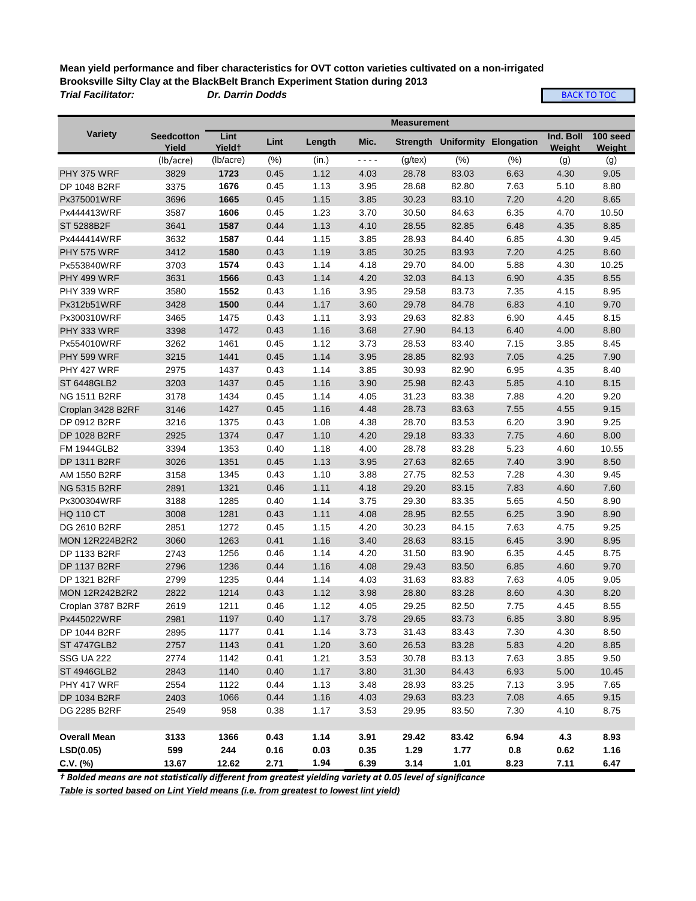**Mean yield performance and fiber characteristics for OVT cotton varieties cultivated on a non-irrigated Brooksville Silty Clay at the BlackBelt Branch Experiment Station during 2013** *Trial Facilitator: Dr. Darrin Dodds*

**[BACK TO TOC](#page-0-0)** 

|                       |                            |                |      |        |      | <b>Measurement</b> |       |                                       |                     |                    |
|-----------------------|----------------------------|----------------|------|--------|------|--------------------|-------|---------------------------------------|---------------------|--------------------|
| <b>Variety</b>        | <b>Seedcotton</b><br>Yield | Lint<br>Yieldt | Lint | Length | Mic. |                    |       | <b>Strength Uniformity Elongation</b> | Ind. Boll<br>Weight | 100 seed<br>Weight |
|                       | (lb/acre)                  | (lb/acre)      | (% ) | (in.)  | ---- | $(g$ /tex $)$      | (% )  | (% )                                  | (g)                 | (g)                |
| PHY 375 WRF           | 3829                       | 1723           | 0.45 | 1.12   | 4.03 | 28.78              | 83.03 | 6.63                                  | 4.30                | 9.05               |
| DP 1048 B2RF          | 3375                       | 1676           | 0.45 | 1.13   | 3.95 | 28.68              | 82.80 | 7.63                                  | 5.10                | 8.80               |
| Px375001WRF           | 3696                       | 1665           | 0.45 | 1.15   | 3.85 | 30.23              | 83.10 | 7.20                                  | 4.20                | 8.65               |
| Px444413WRF           | 3587                       | 1606           | 0.45 | 1.23   | 3.70 | 30.50              | 84.63 | 6.35                                  | 4.70                | 10.50              |
| ST 5288B2F            | 3641                       | 1587           | 0.44 | 1.13   | 4.10 | 28.55              | 82.85 | 6.48                                  | 4.35                | 8.85               |
| Px444414WRF           | 3632                       | 1587           | 0.44 | 1.15   | 3.85 | 28.93              | 84.40 | 6.85                                  | 4.30                | 9.45               |
| <b>PHY 575 WRF</b>    | 3412                       | 1580           | 0.43 | 1.19   | 3.85 | 30.25              | 83.93 | 7.20                                  | 4.25                | 8.60               |
| Px553840WRF           | 3703                       | 1574           | 0.43 | 1.14   | 4.18 | 29.70              | 84.00 | 5.88                                  | 4.30                | 10.25              |
| PHY 499 WRF           | 3631                       | 1566           | 0.43 | 1.14   | 4.20 | 32.03              | 84.13 | 6.90                                  | 4.35                | 8.55               |
| PHY 339 WRF           | 3580                       | 1552           | 0.43 | 1.16   | 3.95 | 29.58              | 83.73 | 7.35                                  | 4.15                | 8.95               |
| Px312b51WRF           | 3428                       | 1500           | 0.44 | 1.17   | 3.60 | 29.78              | 84.78 | 6.83                                  | 4.10                | 9.70               |
| Px300310WRF           | 3465                       | 1475           | 0.43 | 1.11   | 3.93 | 29.63              | 82.83 | 6.90                                  | 4.45                | 8.15               |
| PHY 333 WRF           | 3398                       | 1472           | 0.43 | 1.16   | 3.68 | 27.90              | 84.13 | 6.40                                  | 4.00                | 8.80               |
| Px554010WRF           | 3262                       | 1461           | 0.45 | 1.12   | 3.73 | 28.53              | 83.40 | 7.15                                  | 3.85                | 8.45               |
| <b>PHY 599 WRF</b>    | 3215                       | 1441           | 0.45 | 1.14   | 3.95 | 28.85              | 82.93 | 7.05                                  | 4.25                | 7.90               |
| PHY 427 WRF           | 2975                       | 1437           | 0.43 | 1.14   | 3.85 | 30.93              | 82.90 | 6.95                                  | 4.35                | 8.40               |
| ST 6448GLB2           | 3203                       | 1437           | 0.45 | 1.16   | 3.90 | 25.98              | 82.43 | 5.85                                  | 4.10                | 8.15               |
| <b>NG 1511 B2RF</b>   | 3178                       | 1434           | 0.45 | 1.14   | 4.05 | 31.23              | 83.38 | 7.88                                  | 4.20                | 9.20               |
| Croplan 3428 B2RF     | 3146                       | 1427           | 0.45 | 1.16   | 4.48 | 28.73              | 83.63 | 7.55                                  | 4.55                | 9.15               |
| DP 0912 B2RF          | 3216                       | 1375           | 0.43 | 1.08   | 4.38 | 28.70              | 83.53 | 6.20                                  | 3.90                | 9.25               |
| DP 1028 B2RF          | 2925                       | 1374           | 0.47 | 1.10   | 4.20 | 29.18              | 83.33 | 7.75                                  | 4.60                | 8.00               |
| <b>FM 1944GLB2</b>    | 3394                       | 1353           | 0.40 | 1.18   | 4.00 | 28.78              | 83.28 | 5.23                                  | 4.60                | 10.55              |
| DP 1311 B2RF          | 3026                       | 1351           | 0.45 | 1.13   | 3.95 | 27.63              | 82.65 | 7.40                                  | 3.90                | 8.50               |
| AM 1550 B2RF          | 3158                       | 1345           | 0.43 | 1.10   | 3.88 | 27.75              | 82.53 | 7.28                                  | 4.30                | 9.45               |
| <b>NG 5315 B2RF</b>   | 2891                       | 1321           | 0.46 | 1.11   | 4.18 | 29.20              | 83.15 | 7.83                                  | 4.60                | 7.60               |
| Px300304WRF           | 3188                       | 1285           | 0.40 | 1.14   | 3.75 | 29.30              | 83.35 | 5.65                                  | 4.50                | 8.90               |
| <b>HQ 110 CT</b>      | 3008                       | 1281           | 0.43 | 1.11   | 4.08 | 28.95              | 82.55 | 6.25                                  | 3.90                | 8.90               |
| DG 2610 B2RF          | 2851                       | 1272           | 0.45 | 1.15   | 4.20 | 30.23              | 84.15 | 7.63                                  | 4.75                | 9.25               |
| <b>MON 12R224B2R2</b> | 3060                       | 1263           | 0.41 | 1.16   | 3.40 | 28.63              | 83.15 | 6.45                                  | 3.90                | 8.95               |
| DP 1133 B2RF          | 2743                       | 1256           | 0.46 | 1.14   | 4.20 | 31.50              | 83.90 | 6.35                                  | 4.45                | 8.75               |
| <b>DP 1137 B2RF</b>   | 2796                       | 1236           | 0.44 | 1.16   | 4.08 | 29.43              | 83.50 | 6.85                                  | 4.60                | 9.70               |
| DP 1321 B2RF          | 2799                       | 1235           | 0.44 | 1.14   | 4.03 | 31.63              | 83.83 | 7.63                                  | 4.05                | 9.05               |
| <b>MON 12R242B2R2</b> | 2822                       | 1214           | 0.43 | 1.12   | 3.98 | 28.80              | 83.28 | 8.60                                  | 4.30                | 8.20               |
| Croplan 3787 B2RF     | 2619                       | 1211           | 0.46 | 1.12   | 4.05 | 29.25              | 82.50 | 7.75                                  | 4.45                | 8.55               |
| Px445022WRF           | 2981                       | 1197           | 0.40 | 1.17   | 3.78 | 29.65              | 83.73 | 6.85                                  | 3.80                | 8.95               |
| DP 1044 B2RF          | 2895                       | 1177           | 0.41 | 1.14   | 3.73 | 31.43              | 83.43 | 7.30                                  | 4.30                | 8.50               |
| ST 4747GLB2           | 2757                       | 1143           | 0.41 | 1.20   | 3.60 | 26.53              | 83.28 | 5.83                                  | 4.20                | 8.85               |
| <b>SSG UA 222</b>     | 2774                       | 1142           | 0.41 | 1.21   | 3.53 | 30.78              | 83.13 | 7.63                                  | 3.85                | 9.50               |
| <b>ST 4946GLB2</b>    | 2843                       | 1140           | 0.40 | 1.17   | 3.80 | 31.30              | 84.43 | 6.93                                  | 5.00                | 10.45              |
| PHY 417 WRF           | 2554                       | 1122           | 0.44 | 1.13   | 3.48 | 28.93              | 83.25 | 7.13                                  | 3.95                | 7.65               |
| DP 1034 B2RF          | 2403                       | 1066           | 0.44 | 1.16   | 4.03 | 29.63              | 83.23 | 7.08                                  | 4.65                | 9.15               |
| DG 2285 B2RF          | 2549                       | 958            | 0.38 | 1.17   | 3.53 | 29.95              | 83.50 | 7.30                                  | 4.10                | 8.75               |
|                       |                            |                |      |        |      |                    |       |                                       |                     |                    |
| <b>Overall Mean</b>   | 3133                       | 1366           | 0.43 | 1.14   | 3.91 | 29.42              | 83.42 | 6.94                                  | 4.3                 | 8.93               |
| LSD(0.05)             | 599                        | 244            | 0.16 | 0.03   | 0.35 | 1.29               | 1.77  | 0.8                                   | 0.62                | 1.16               |
| $C.V.$ (%)            | 13.67                      | 12.62          | 2.71 | 1.94   | 6.39 | 3.14               | 1.01  | 8.23                                  | 7.11                | 6.47               |

*† Bolded means are not statistically different from greatest yielding variety at 0.05 level of significance*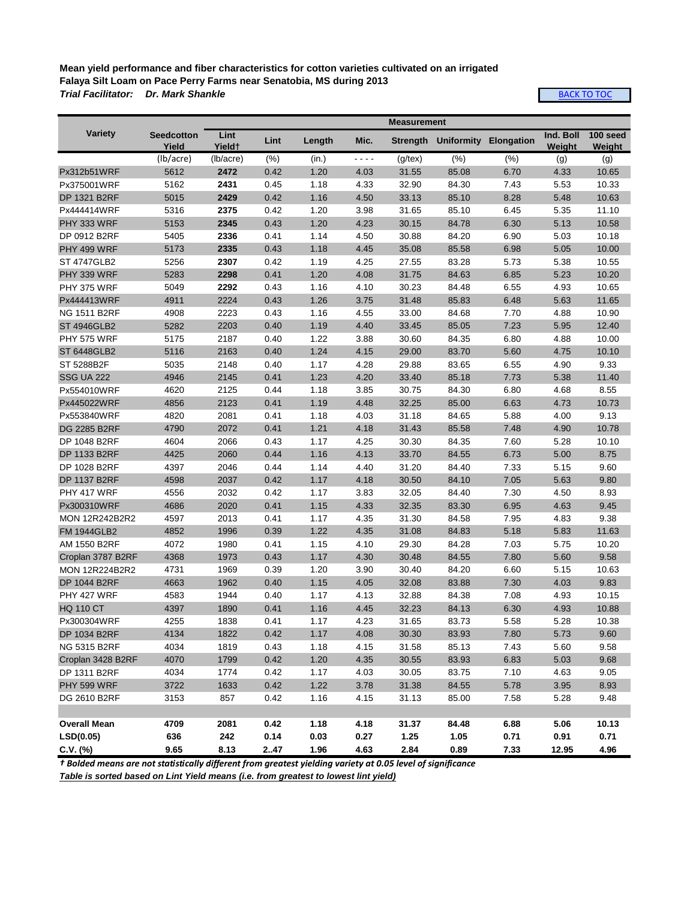**Mean yield performance and fiber characteristics for cotton varieties cultivated on an irrigated Falaya Silt Loam on Pace Perry Farms near Senatobia, MS during 2013** *Trial Facilitator: Dr. Mark Shankle*

**[BACK TO TOC](#page-0-0)** 

|                       |                                   |                |      |        |      | <b>Measurement</b> |                                |      |                            |                    |
|-----------------------|-----------------------------------|----------------|------|--------|------|--------------------|--------------------------------|------|----------------------------|--------------------|
| <b>Variety</b>        | <b>Seedcotton</b><br><u>Yield</u> | Lint<br>Yieldt | Lint | Length | Mic. |                    | Strength Uniformity Elongation |      | Ind. Boll<br><b>Weight</b> | 100 seed<br>Weight |
|                       | (lb/acre)                         | (lb/acre)      | (% ) | (in.)  | ---- | $(g$ /tex)         | (% )                           | (% ) | (g)                        | (g)                |
| Px312b51WRF           | 5612                              | 2472           | 0.42 | 1.20   | 4.03 | 31.55              | 85.08                          | 6.70 | 4.33                       | 10.65              |
| Px375001WRF           | 5162                              | 2431           | 0.45 | 1.18   | 4.33 | 32.90              | 84.30                          | 7.43 | 5.53                       | 10.33              |
| <b>DP 1321 B2RF</b>   | 5015                              | 2429           | 0.42 | 1.16   | 4.50 | 33.13              | 85.10                          | 8.28 | 5.48                       | 10.63              |
| Px444414WRF           | 5316                              | 2375           | 0.42 | 1.20   | 3.98 | 31.65              | 85.10                          | 6.45 | 5.35                       | 11.10              |
| PHY 333 WRF           | 5153                              | 2345           | 0.43 | 1.20   | 4.23 | 30.15              | 84.78                          | 6.30 | 5.13                       | 10.58              |
| DP 0912 B2RF          | 5405                              | 2336           | 0.41 | 1.14   | 4.50 | 30.88              | 84.20                          | 6.90 | 5.03                       | 10.18              |
| PHY 499 WRF           | 5173                              | 2335           | 0.43 | 1.18   | 4.45 | 35.08              | 85.58                          | 6.98 | 5.05                       | 10.00              |
| <b>ST 4747GLB2</b>    | 5256                              | 2307           | 0.42 | 1.19   | 4.25 | 27.55              | 83.28                          | 5.73 | 5.38                       | 10.55              |
| PHY 339 WRF           | 5283                              | 2298           | 0.41 | 1.20   | 4.08 | 31.75              | 84.63                          | 6.85 | 5.23                       | 10.20              |
| <b>PHY 375 WRF</b>    | 5049                              | 2292           | 0.43 | 1.16   | 4.10 | 30.23              | 84.48                          | 6.55 | 4.93                       | 10.65              |
| Px444413WRF           | 4911                              | 2224           | 0.43 | 1.26   | 3.75 | 31.48              | 85.83                          | 6.48 | 5.63                       | 11.65              |
| <b>NG 1511 B2RF</b>   | 4908                              | 2223           | 0.43 | 1.16   | 4.55 | 33.00              | 84.68                          | 7.70 | 4.88                       | 10.90              |
| <b>ST 4946GLB2</b>    | 5282                              | 2203           | 0.40 | 1.19   | 4.40 | 33.45              | 85.05                          | 7.23 | 5.95                       | 12.40              |
| <b>PHY 575 WRF</b>    | 5175                              | 2187           | 0.40 | 1.22   | 3.88 | 30.60              | 84.35                          | 6.80 | 4.88                       | 10.00              |
| <b>ST 6448GLB2</b>    | 5116                              | 2163           | 0.40 | 1.24   | 4.15 | 29.00              | 83.70                          | 5.60 | 4.75                       | 10.10              |
| ST 5288B2F            | 5035                              | 2148           | 0.40 | 1.17   | 4.28 | 29.88              | 83.65                          | 6.55 | 4.90                       | 9.33               |
| <b>SSG UA 222</b>     | 4946                              | 2145           | 0.41 | 1.23   | 4.20 | 33.40              | 85.18                          | 7.73 | 5.38                       | 11.40              |
| Px554010WRF           | 4620                              | 2125           | 0.44 | 1.18   | 3.85 | 30.75              | 84.30                          | 6.80 | 4.68                       | 8.55               |
| Px445022WRF           | 4856                              | 2123           | 0.41 | 1.19   | 4.48 | 32.25              | 85.00                          | 6.63 | 4.73                       | 10.73              |
| Px553840WRF           | 4820                              | 2081           | 0.41 | 1.18   | 4.03 | 31.18              | 84.65                          | 5.88 | 4.00                       | 9.13               |
| <b>DG 2285 B2RF</b>   | 4790                              | 2072           | 0.41 | 1.21   | 4.18 | 31.43              | 85.58                          | 7.48 | 4.90                       | 10.78              |
| DP 1048 B2RF          | 4604                              | 2066           | 0.43 | 1.17   | 4.25 | 30.30              | 84.35                          | 7.60 | 5.28                       | 10.10              |
| <b>DP 1133 B2RF</b>   | 4425                              | 2060           | 0.44 | 1.16   | 4.13 | 33.70              | 84.55                          | 6.73 | 5.00                       | 8.75               |
| DP 1028 B2RF          | 4397                              | 2046           | 0.44 | 1.14   | 4.40 | 31.20              | 84.40                          | 7.33 | 5.15                       | 9.60               |
| <b>DP 1137 B2RF</b>   | 4598                              | 2037           | 0.42 | 1.17   | 4.18 | 30.50              | 84.10                          | 7.05 | 5.63                       | 9.80               |
| PHY 417 WRF           | 4556                              | 2032           | 0.42 | 1.17   | 3.83 | 32.05              | 84.40                          | 7.30 | 4.50                       | 8.93               |
| Px300310WRF           | 4686                              | 2020           | 0.41 | 1.15   | 4.33 | 32.35              | 83.30                          | 6.95 | 4.63                       | 9.45               |
| <b>MON 12R242B2R2</b> | 4597                              | 2013           | 0.41 | 1.17   | 4.35 | 31.30              | 84.58                          | 7.95 | 4.83                       | 9.38               |
| <b>FM 1944GLB2</b>    | 4852                              | 1996           | 0.39 | 1.22   | 4.35 | 31.08              | 84.83                          | 5.18 | 5.83                       | 11.63              |
| AM 1550 B2RF          | 4072                              | 1980           | 0.41 | 1.15   | 4.10 | 29.30              | 84.28                          | 7.03 | 5.75                       | 10.20              |
| Croplan 3787 B2RF     | 4368                              | 1973           | 0.43 | 1.17   | 4.30 | 30.48              | 84.55                          | 7.80 | 5.60                       | 9.58               |
| <b>MON 12R224B2R2</b> | 4731                              | 1969           | 0.39 | 1.20   | 3.90 | 30.40              | 84.20                          | 6.60 | 5.15                       | 10.63              |
| <b>DP 1044 B2RF</b>   | 4663                              | 1962           | 0.40 | 1.15   | 4.05 | 32.08              | 83.88                          | 7.30 | 4.03                       | 9.83               |
| PHY 427 WRF           | 4583                              | 1944           | 0.40 | 1.17   | 4.13 | 32.88              | 84.38                          | 7.08 | 4.93                       | 10.15              |
| <b>HQ 110 CT</b>      | 4397                              | 1890           | 0.41 | 1.16   | 4.45 | 32.23              | 84.13                          | 6.30 | 4.93                       | 10.88              |
| Px300304WRF           | 4255                              | 1838           | 0.41 | 1.17   | 4.23 | 31.65              | 83.73                          | 5.58 | 5.28                       | 10.38              |
| DP 1034 B2RF          | 4134                              | 1822           | 0.42 | 1.17   | 4.08 | 30.30              | 83.93                          | 7.80 | 5.73                       | 9.60               |
| NG 5315 B2RF          | 4034                              | 1819           | 0.43 | 1.18   | 4.15 | 31.58              | 85.13                          | 7.43 | 5.60                       | 9.58               |
| Croplan 3428 B2RF     | 4070                              | 1799           | 0.42 | 1.20   | 4.35 | 30.55              | 83.93                          | 6.83 | 5.03                       | 9.68               |
| DP 1311 B2RF          | 4034                              | 1774           | 0.42 | 1.17   | 4.03 | 30.05              | 83.75                          | 7.10 | 4.63                       | 9.05               |
| PHY 599 WRF           | 3722                              | 1633           | 0.42 | 1.22   | 3.78 | 31.38              | 84.55                          | 5.78 | 3.95                       | 8.93               |
| DG 2610 B2RF          | 3153                              | 857            | 0.42 | 1.16   | 4.15 | 31.13              | 85.00                          | 7.58 | 5.28                       | 9.48               |
|                       |                                   |                |      |        |      |                    |                                |      |                            |                    |
| <b>Overall Mean</b>   | 4709                              | 2081           | 0.42 | 1.18   | 4.18 | 31.37              | 84.48                          | 6.88 | 5.06                       | 10.13              |
| LSD(0.05)             | 636                               | 242            | 0.14 | 0.03   | 0.27 | 1.25               | 1.05                           | 0.71 | 0.91                       | 0.71               |
| C.V. (%)              | 9.65                              | 8.13           | 247  | 1.96   | 4.63 | 2.84               | 0.89                           | 7.33 | 12.95                      | 4.96               |

*† Bolded means are not statistically different from greatest yielding variety at 0.05 level of significance*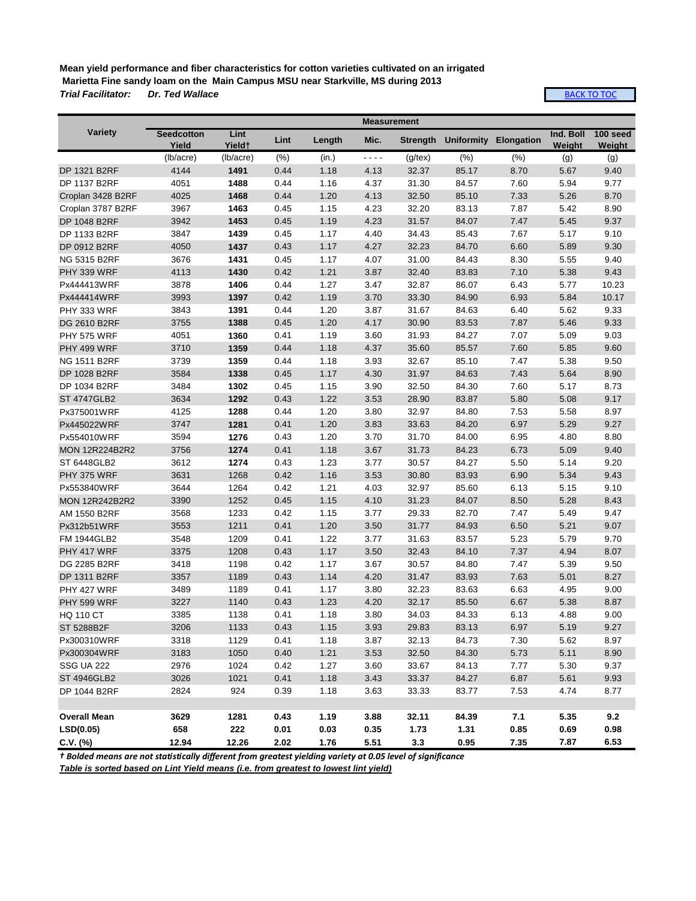**Mean yield performance and fiber characteristics for cotton varieties cultivated on an irrigated Marietta Fine sandy loam on the Main Campus MSU near Starkville, MS during 2013** *Trial Facilitator:* 

[BACK TO TOC](#page-0-0)

|                       |                            |                |      |        | <b>Measurement</b> |               |                                |      |                     |                    |
|-----------------------|----------------------------|----------------|------|--------|--------------------|---------------|--------------------------------|------|---------------------|--------------------|
| <b>Variety</b>        | <b>Seedcotton</b><br>Yield | Lint<br>Yield† | Lint | Length | Mic.               |               | Strength Uniformity Elongation |      | Ind. Boll<br>Weight | 100 seed<br>Weight |
|                       | (lb/acre)                  | (lb/acre)      | (% ) | (in.)  | ----               | $(g$ /tex $)$ | (% )                           | (% ) | (g)                 | (g)                |
| DP 1321 B2RF          | 4144                       | 1491           | 0.44 | 1.18   | 4.13               | 32.37         | 85.17                          | 8.70 | 5.67                | 9.40               |
| DP 1137 B2RF          | 4051                       | 1488           | 0.44 | 1.16   | 4.37               | 31.30         | 84.57                          | 7.60 | 5.94                | 9.77               |
| Croplan 3428 B2RF     | 4025                       | 1468           | 0.44 | 1.20   | 4.13               | 32.50         | 85.10                          | 7.33 | 5.26                | 8.70               |
| Croplan 3787 B2RF     | 3967                       | 1463           | 0.45 | 1.15   | 4.23               | 32.20         | 83.13                          | 7.87 | 5.42                | 8.90               |
| DP 1048 B2RF          | 3942                       | 1453           | 0.45 | 1.19   | 4.23               | 31.57         | 84.07                          | 7.47 | 5.45                | 9.37               |
| DP 1133 B2RF          | 3847                       | 1439           | 0.45 | 1.17   | 4.40               | 34.43         | 85.43                          | 7.67 | 5.17                | 9.10               |
| DP 0912 B2RF          | 4050                       | 1437           | 0.43 | 1.17   | 4.27               | 32.23         | 84.70                          | 6.60 | 5.89                | 9.30               |
| NG 5315 B2RF          | 3676                       | 1431           | 0.45 | 1.17   | 4.07               | 31.00         | 84.43                          | 8.30 | 5.55                | 9.40               |
| PHY 339 WRF           | 4113                       | 1430           | 0.42 | 1.21   | 3.87               | 32.40         | 83.83                          | 7.10 | 5.38                | 9.43               |
| Px444413WRF           | 3878                       | 1406           | 0.44 | 1.27   | 3.47               | 32.87         | 86.07                          | 6.43 | 5.77                | 10.23              |
| Px444414WRF           | 3993                       | 1397           | 0.42 | 1.19   | 3.70               | 33.30         | 84.90                          | 6.93 | 5.84                | 10.17              |
| PHY 333 WRF           | 3843                       | 1391           | 0.44 | 1.20   | 3.87               | 31.67         | 84.63                          | 6.40 | 5.62                | 9.33               |
| DG 2610 B2RF          | 3755                       | 1388           | 0.45 | 1.20   | 4.17               | 30.90         | 83.53                          | 7.87 | 5.46                | 9.33               |
| <b>PHY 575 WRF</b>    | 4051                       | 1360           | 0.41 | 1.19   | 3.60               | 31.93         | 84.27                          | 7.07 | 5.09                | 9.03               |
| PHY 499 WRF           | 3710                       | 1359           | 0.44 | 1.18   | 4.37               | 35.60         | 85.57                          | 7.60 | 5.85                | 9.60               |
| <b>NG 1511 B2RF</b>   | 3739                       | 1359           | 0.44 | 1.18   | 3.93               | 32.67         | 85.10                          | 7.47 | 5.38                | 9.50               |
| DP 1028 B2RF          | 3584                       | 1338           | 0.45 | 1.17   | 4.30               | 31.97         | 84.63                          | 7.43 | 5.64                | 8.90               |
| DP 1034 B2RF          | 3484                       | 1302           | 0.45 | 1.15   | 3.90               | 32.50         | 84.30                          | 7.60 | 5.17                | 8.73               |
| <b>ST 4747GLB2</b>    | 3634                       | 1292           | 0.43 | 1.22   | 3.53               | 28.90         | 83.87                          | 5.80 | 5.08                | 9.17               |
| Px375001WRF           | 4125                       | 1288           | 0.44 | 1.20   | 3.80               | 32.97         | 84.80                          | 7.53 | 5.58                | 8.97               |
| Px445022WRF           | 3747                       | 1281           | 0.41 | 1.20   | 3.83               | 33.63         | 84.20                          | 6.97 | 5.29                | 9.27               |
| Px554010WRF           | 3594                       | 1276           | 0.43 | 1.20   | 3.70               | 31.70         | 84.00                          | 6.95 | 4.80                | 8.80               |
| <b>MON 12R224B2R2</b> | 3756                       | 1274           | 0.41 | 1.18   | 3.67               | 31.73         | 84.23                          | 6.73 | 5.09                | 9.40               |
| ST 6448GLB2           | 3612                       | 1274           | 0.43 | 1.23   | 3.77               | 30.57         | 84.27                          | 5.50 | 5.14                | 9.20               |
| PHY 375 WRF           | 3631                       | 1268           | 0.42 | 1.16   | 3.53               | 30.80         | 83.93                          | 6.90 | 5.34                | 9.43               |
| Px553840WRF           | 3644                       | 1264           | 0.42 | 1.21   | 4.03               | 32.97         | 85.60                          | 6.13 | 5.15                | 9.10               |
| MON 12R242B2R2        | 3390                       | 1252           | 0.45 | 1.15   | 4.10               | 31.23         | 84.07                          | 8.50 | 5.28                | 8.43               |
| AM 1550 B2RF          | 3568                       | 1233           | 0.42 | 1.15   | 3.77               | 29.33         | 82.70                          | 7.47 | 5.49                | 9.47               |
| Px312b51WRF           | 3553                       | 1211           | 0.41 | 1.20   | 3.50               | 31.77         | 84.93                          | 6.50 | 5.21                | 9.07               |
| <b>FM 1944GLB2</b>    | 3548                       | 1209           | 0.41 | 1.22   | 3.77               | 31.63         | 83.57                          | 5.23 | 5.79                | 9.70               |
| PHY 417 WRF           | 3375                       | 1208           | 0.43 | 1.17   | 3.50               | 32.43         | 84.10                          | 7.37 | 4.94                | 8.07               |
| DG 2285 B2RF          | 3418                       | 1198           | 0.42 | 1.17   | 3.67               | 30.57         | 84.80                          | 7.47 | 5.39                | 9.50               |
| DP 1311 B2RF          | 3357                       | 1189           | 0.43 | 1.14   | 4.20               | 31.47         | 83.93                          | 7.63 | 5.01                | 8.27               |
| PHY 427 WRF           | 3489                       | 1189           | 0.41 | 1.17   | 3.80               | 32.23         | 83.63                          | 6.63 | 4.95                | 9.00               |
| PHY 599 WRF           | 3227                       | 1140           | 0.43 | 1.23   | 4.20               | 32.17         | 85.50                          | 6.67 | 5.38                | 8.87               |
| <b>HQ 110 CT</b>      | 3385                       | 1138           | 0.41 | 1.18   | 3.80               | 34.03         | 84.33                          | 6.13 | 4.88                | 9.00               |
| ST 5288B2F            | 3206                       | 1133           | 0.43 | 1.15   | $3.93\,$           | 29.83         | 83.13                          | 6.97 | 5.19                | 9.27               |
| Px300310WRF           | 3318                       | 1129           | 0.41 | 1.18   | 3.87               | 32.13         | 84.73                          | 7.30 | 5.62                | 8.97               |
| Px300304WRF           | 3183                       | 1050           | 0.40 | 1.21   | 3.53               | 32.50         | 84.30                          | 5.73 | 5.11                | 8.90               |
| <b>SSG UA 222</b>     | 2976                       | 1024           | 0.42 | 1.27   | 3.60               | 33.67         | 84.13                          | 7.77 | 5.30                | 9.37               |
| <b>ST 4946GLB2</b>    | 3026                       | 1021           | 0.41 | 1.18   | 3.43               | 33.37         | 84.27                          | 6.87 | 5.61                | 9.93               |
| DP 1044 B2RF          | 2824                       | 924            | 0.39 | 1.18   | 3.63               | 33.33         | 83.77                          | 7.53 | 4.74                | 8.77               |
|                       |                            |                |      |        |                    |               |                                |      |                     |                    |
| <b>Overall Mean</b>   | 3629                       | 1281           | 0.43 | 1.19   | 3.88               | 32.11         | 84.39                          | 7.1  | 5.35                | 9.2                |
| LSD(0.05)             | 658                        | 222            | 0.01 | 0.03   | 0.35               | 1.73          | 1.31                           | 0.85 | 0.69                | 0.98               |
| $C.V.$ (%)            | 12.94                      | 12.26          | 2.02 | 1.76   | 5.51               | 3.3           | 0.95                           | 7.35 | 7.87                | 6.53               |

*† Bolded means are not statistically different from greatest yielding variety at 0.05 level of significance*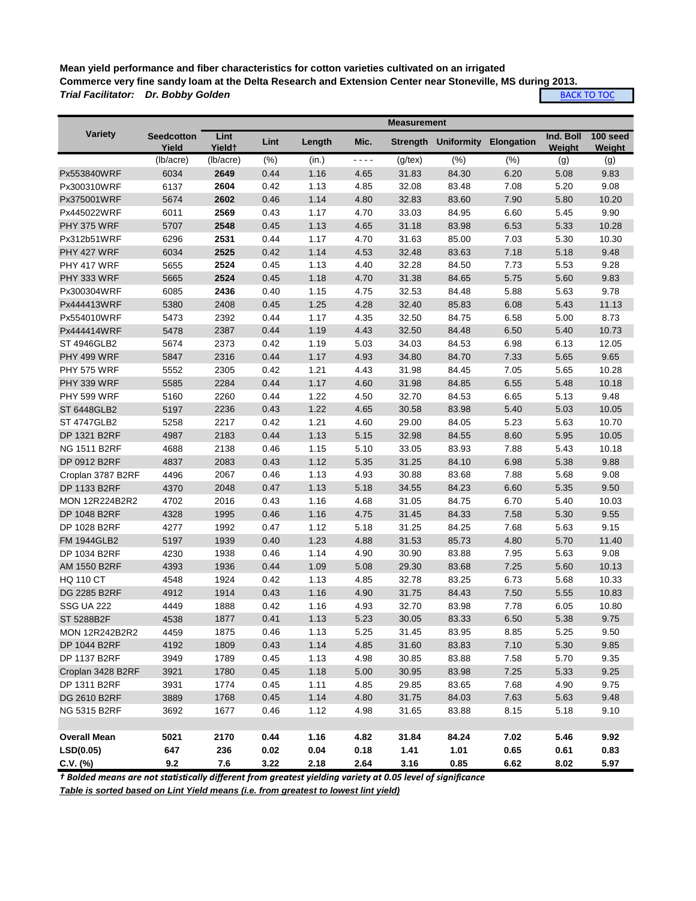**Mean yield performance and fiber characteristics for cotton varieties cultivated on an irrigated Commerce very fine sandy loam at the Delta Research and Extension Center near Stoneville, MS during 2013.** *Trial Facilitator: Dr. Bobby Golden* **[BACK TO TOC](#page-0-0)** 

|                       |                            |                            |      |        |           | <b>Measurement</b> |                                |      |                     |                    |
|-----------------------|----------------------------|----------------------------|------|--------|-----------|--------------------|--------------------------------|------|---------------------|--------------------|
| Variety               | <b>Seedcotton</b><br>Yield | Lint<br>Yield <sup>+</sup> | Lint | Length | Mic.      |                    | Strength Uniformity Elongation |      | Ind. Boll<br>Weight | 100 seed<br>Weight |
|                       | (lb/acre)                  | (lb/acre)                  | (%)  | (in.)  | $-$ - - - | $(g$ /tex $)$      | (%)                            | (% ) | (g)                 | (g)                |
| Px553840WRF           | 6034                       | 2649                       | 0.44 | 1.16   | 4.65      | 31.83              | 84.30                          | 6.20 | 5.08                | 9.83               |
| Px300310WRF           | 6137                       | 2604                       | 0.42 | 1.13   | 4.85      | 32.08              | 83.48                          | 7.08 | 5.20                | 9.08               |
| Px375001WRF           | 5674                       | 2602                       | 0.46 | 1.14   | 4.80      | 32.83              | 83.60                          | 7.90 | 5.80                | 10.20              |
| Px445022WRF           | 6011                       | 2569                       | 0.43 | 1.17   | 4.70      | 33.03              | 84.95                          | 6.60 | 5.45                | 9.90               |
| PHY 375 WRF           | 5707                       | 2548                       | 0.45 | 1.13   | 4.65      | 31.18              | 83.98                          | 6.53 | 5.33                | 10.28              |
| Px312b51WRF           | 6296                       | 2531                       | 0.44 | 1.17   | 4.70      | 31.63              | 85.00                          | 7.03 | 5.30                | 10.30              |
| PHY 427 WRF           | 6034                       | 2525                       | 0.42 | 1.14   | 4.53      | 32.48              | 83.63                          | 7.18 | 5.18                | 9.48               |
| PHY 417 WRF           | 5655                       | 2524                       | 0.45 | 1.13   | 4.40      | 32.28              | 84.50                          | 7.73 | 5.53                | 9.28               |
| PHY 333 WRF           | 5665                       | 2524                       | 0.45 | 1.18   | 4.70      | 31.38              | 84.65                          | 5.75 | 5.60                | 9.83               |
| Px300304WRF           | 6085                       | 2436                       | 0.40 | 1.15   | 4.75      | 32.53              | 84.48                          | 5.88 | 5.63                | 9.78               |
| Px444413WRF           | 5380                       | 2408                       | 0.45 | 1.25   | 4.28      | 32.40              | 85.83                          | 6.08 | 5.43                | 11.13              |
| Px554010WRF           | 5473                       | 2392                       | 0.44 | 1.17   | 4.35      | 32.50              | 84.75                          | 6.58 | 5.00                | 8.73               |
| Px444414WRF           | 5478                       | 2387                       | 0.44 | 1.19   | 4.43      | 32.50              | 84.48                          | 6.50 | 5.40                | 10.73              |
| ST 4946GLB2           | 5674                       | 2373                       | 0.42 | 1.19   | 5.03      | 34.03              | 84.53                          | 6.98 | 6.13                | 12.05              |
| PHY 499 WRF           | 5847                       | 2316                       | 0.44 | 1.17   | 4.93      | 34.80              | 84.70                          | 7.33 | 5.65                | 9.65               |
| <b>PHY 575 WRF</b>    | 5552                       | 2305                       | 0.42 | 1.21   | 4.43      | 31.98              | 84.45                          | 7.05 | 5.65                | 10.28              |
| PHY 339 WRF           | 5585                       | 2284                       | 0.44 | 1.17   | 4.60      | 31.98              | 84.85                          | 6.55 | 5.48                | 10.18              |
| <b>PHY 599 WRF</b>    | 5160                       | 2260                       | 0.44 | 1.22   | 4.50      | 32.70              | 84.53                          | 6.65 | 5.13                | 9.48               |
| <b>ST 6448GLB2</b>    | 5197                       | 2236                       | 0.43 | 1.22   | 4.65      | 30.58              | 83.98                          | 5.40 | 5.03                | 10.05              |
| <b>ST 4747GLB2</b>    | 5258                       | 2217                       | 0.42 | 1.21   | 4.60      | 29.00              | 84.05                          | 5.23 | 5.63                | 10.70              |
| <b>DP 1321 B2RF</b>   | 4987                       | 2183                       | 0.44 | 1.13   | 5.15      | 32.98              | 84.55                          | 8.60 | 5.95                | 10.05              |
| <b>NG 1511 B2RF</b>   | 4688                       | 2138                       | 0.46 | 1.15   | 5.10      | 33.05              | 83.93                          | 7.88 | 5.43                | 10.18              |
| DP 0912 B2RF          | 4837                       | 2083                       | 0.43 | 1.12   | 5.35      | 31.25              | 84.10                          | 6.98 | 5.38                | 9.88               |
| Croplan 3787 B2RF     | 4496                       | 2067                       | 0.46 | 1.13   | 4.93      | 30.88              | 83.68                          | 7.88 | 5.68                | 9.08               |
| DP 1133 B2RF          | 4370                       | 2048                       | 0.47 | 1.13   | 5.18      | 34.55              | 84.23                          | 6.60 | 5.35                | 9.50               |
| <b>MON 12R224B2R2</b> | 4702                       | 2016                       | 0.43 | 1.16   | 4.68      | 31.05              | 84.75                          | 6.70 | 5.40                | 10.03              |
| DP 1048 B2RF          | 4328                       | 1995                       | 0.46 | 1.16   | 4.75      | 31.45              | 84.33                          | 7.58 | 5.30                | 9.55               |
| DP 1028 B2RF          | 4277                       | 1992                       | 0.47 | 1.12   | 5.18      | 31.25              | 84.25                          | 7.68 | 5.63                | 9.15               |
| <b>FM 1944GLB2</b>    | 5197                       | 1939                       | 0.40 | 1.23   | 4.88      | 31.53              | 85.73                          | 4.80 | 5.70                | 11.40              |
| DP 1034 B2RF          | 4230                       | 1938                       | 0.46 | 1.14   | 4.90      | 30.90              | 83.88                          | 7.95 | 5.63                | 9.08               |
| AM 1550 B2RF          | 4393                       | 1936                       | 0.44 | 1.09   | 5.08      | 29.30              | 83.68                          | 7.25 | 5.60                | 10.13              |
| <b>HQ 110 CT</b>      | 4548                       | 1924                       | 0.42 | 1.13   | 4.85      | 32.78              | 83.25                          | 6.73 | 5.68                | 10.33              |
| DG 2285 B2RF          | 4912                       | 1914                       | 0.43 | 1.16   | 4.90      | 31.75              | 84.43                          | 7.50 | 5.55                | 10.83              |
| <b>SSG UA 222</b>     | 4449                       | 1888                       | 0.42 | 1.16   | 4.93      | 32.70              | 83.98                          | 7.78 | 6.05                | 10.80              |
| ST 5288B2F            | 4538                       | 1877                       | 0.41 | 1.13   | 5.23      | 30.05              | 83.33                          | 6.50 | 5.38                | 9.75               |
| MON 12R242B2R2        | 4459                       | 1875                       | 0.46 | 1.13   | 5.25      | 31.45              | 83.95                          | 8.85 | 5.25                | 9.50               |

**Overall Mean 5021 2170 0.44 1.16 4.82 31.84 84.24 7.02 5.46 9.92 LSD(0.05) 647 236 0.02 0.04 0.18 1.41 1.01 0.65 0.61 0.83 C.V. (%) 9.2 7.6 3.22 2.18 2.64 3.16 0.85 6.62 8.02 5.97**

DP 1044 B2RF 4192 1809 0.43 1.14 4.85 31.60 83.83 7.10 5.30 9.85 DP 1137 B2RF 3949 1789 0.45 1.13 4.98 30.85 83.88 7.58 5.70 9.35 Croplan 3428 B2RF 3921 1780 0.45 1.18 5.00 30.95 83.98 7.25 5.33 9.25 DP 1311 B2RF 3931 1774 0.45 1.11 4.85 29.85 83.65 7.68 4.90 9.75 DG 2610 B2RF 3889 1768 0.45 1.14 4.80 31.75 84.03 7.63 5.63 9.48 NG 5315 B2RF 3692 1677 0.46 1.12 4.98 31.65 83.88 8.15 5.18 9.10

*† Bolded means are not statistically different from greatest yielding variety at 0.05 level of significance*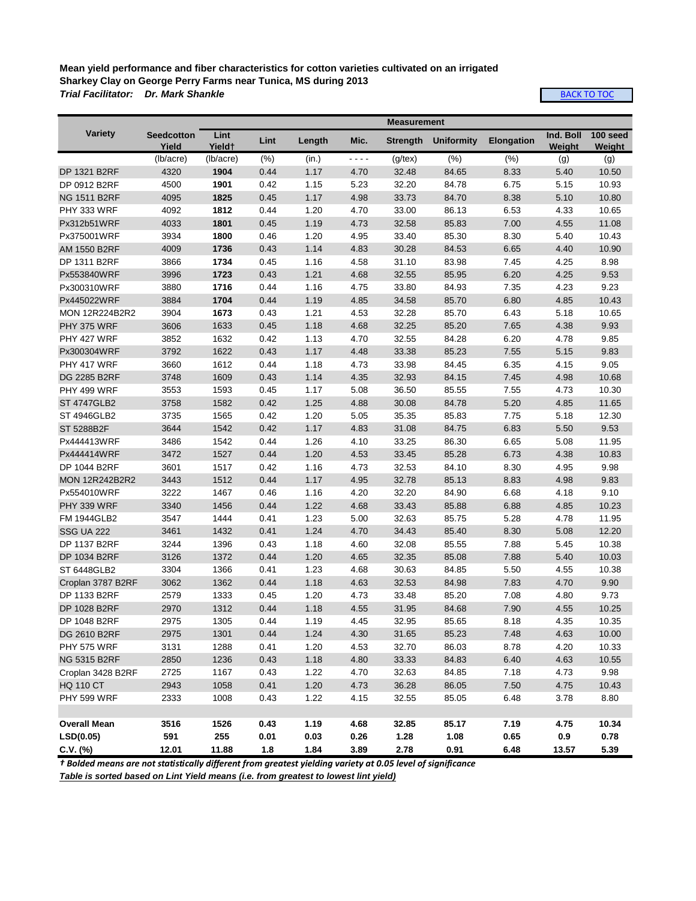## **Mean yield performance and fiber characteristics for cotton varieties cultivated on an irrigated Sharkey Clay on George Perry Farms near Tunica, MS during 2013** *Trial Facilitator: Dr. Mark Shankle*

**[BACK TO TOC](#page-0-0)** 

|                       |                            | <b>Measurement</b>         |      |        |      |                 |                   |                   |                            |                    |  |
|-----------------------|----------------------------|----------------------------|------|--------|------|-----------------|-------------------|-------------------|----------------------------|--------------------|--|
| Variety               | <b>Seedcotton</b><br>Yield | Lint<br>Yield <sup>+</sup> | Lint | Length | Mic. | <b>Strength</b> | <b>Uniformity</b> | <b>Elongation</b> | Ind. Boll<br><b>Weight</b> | 100 seed<br>Weight |  |
|                       | (lb/acre)                  | (lb/acre)                  | (% ) | (in.)  | ---- | $(g$ /tex $)$   | (% )              | (% )              | (g)                        | (g)                |  |
| DP 1321 B2RF          | 4320                       | 1904                       | 0.44 | 1.17   | 4.70 | 32.48           | 84.65             | 8.33              | 5.40                       | 10.50              |  |
| DP 0912 B2RF          | 4500                       | 1901                       | 0.42 | 1.15   | 5.23 | 32.20           | 84.78             | 6.75              | 5.15                       | 10.93              |  |
| <b>NG 1511 B2RF</b>   | 4095                       | 1825                       | 0.45 | 1.17   | 4.98 | 33.73           | 84.70             | 8.38              | 5.10                       | 10.80              |  |
| PHY 333 WRF           | 4092                       | 1812                       | 0.44 | 1.20   | 4.70 | 33.00           | 86.13             | 6.53              | 4.33                       | 10.65              |  |
| Px312b51WRF           | 4033                       | 1801                       | 0.45 | 1.19   | 4.73 | 32.58           | 85.83             | 7.00              | 4.55                       | 11.08              |  |
| Px375001WRF           | 3934                       | 1800                       | 0.46 | 1.20   | 4.95 | 33.40           | 85.30             | 8.30              | 5.40                       | 10.43              |  |
| AM 1550 B2RF          | 4009                       | 1736                       | 0.43 | 1.14   | 4.83 | 30.28           | 84.53             | 6.65              | 4.40                       | 10.90              |  |
| DP 1311 B2RF          | 3866                       | 1734                       | 0.45 | 1.16   | 4.58 | 31.10           | 83.98             | 7.45              | 4.25                       | 8.98               |  |
| Px553840WRF           | 3996                       | 1723                       | 0.43 | 1.21   | 4.68 | 32.55           | 85.95             | 6.20              | 4.25                       | 9.53               |  |
| Px300310WRF           | 3880                       | 1716                       | 0.44 | 1.16   | 4.75 | 33.80           | 84.93             | 7.35              | 4.23                       | 9.23               |  |
| Px445022WRF           | 3884                       | 1704                       | 0.44 | 1.19   | 4.85 | 34.58           | 85.70             | 6.80              | 4.85                       | 10.43              |  |
| <b>MON 12R224B2R2</b> | 3904                       | 1673                       | 0.43 | 1.21   | 4.53 | 32.28           | 85.70             | 6.43              | 5.18                       | 10.65              |  |
| PHY 375 WRF           | 3606                       | 1633                       | 0.45 | 1.18   | 4.68 | 32.25           | 85.20             | 7.65              | 4.38                       | 9.93               |  |
| PHY 427 WRF           | 3852                       | 1632                       | 0.42 | 1.13   | 4.70 | 32.55           | 84.28             | 6.20              | 4.78                       | 9.85               |  |
| Px300304WRF           | 3792                       | 1622                       | 0.43 | 1.17   | 4.48 | 33.38           | 85.23             | 7.55              | 5.15                       | 9.83               |  |
| PHY 417 WRF           | 3660                       | 1612                       | 0.44 | 1.18   | 4.73 | 33.98           | 84.45             | 6.35              | 4.15                       | 9.05               |  |
| DG 2285 B2RF          | 3748                       | 1609                       | 0.43 | 1.14   | 4.35 | 32.93           | 84.15             | 7.45              | 4.98                       | 10.68              |  |
| PHY 499 WRF           | 3553                       | 1593                       | 0.45 | 1.17   | 5.08 | 36.50           | 85.55             | 7.55              | 4.73                       | 10.30              |  |
| <b>ST 4747GLB2</b>    | 3758                       | 1582                       | 0.42 | 1.25   | 4.88 | 30.08           | 84.78             | 5.20              | 4.85                       | 11.65              |  |
| ST 4946GLB2           | 3735                       | 1565                       | 0.42 | 1.20   | 5.05 | 35.35           | 85.83             | 7.75              | 5.18                       | 12.30              |  |
| ST 5288B2F            | 3644                       | 1542                       | 0.42 | 1.17   | 4.83 | 31.08           | 84.75             | 6.83              | 5.50                       | 9.53               |  |
| Px444413WRF           | 3486                       | 1542                       | 0.44 | 1.26   | 4.10 | 33.25           | 86.30             | 6.65              | 5.08                       | 11.95              |  |
| Px444414WRF           | 3472                       | 1527                       | 0.44 | 1.20   | 4.53 | 33.45           | 85.28             | 6.73              | 4.38                       | 10.83              |  |
| DP 1044 B2RF          | 3601                       | 1517                       | 0.42 | 1.16   | 4.73 | 32.53           | 84.10             | 8.30              | 4.95                       | 9.98               |  |
| <b>MON 12R242B2R2</b> | 3443                       | 1512                       | 0.44 | 1.17   | 4.95 | 32.78           | 85.13             | 8.83              | 4.98                       | 9.83               |  |
| Px554010WRF           | 3222                       | 1467                       | 0.46 | 1.16   | 4.20 | 32.20           | 84.90             | 6.68              | 4.18                       | 9.10               |  |
| PHY 339 WRF           | 3340                       | 1456                       | 0.44 | 1.22   | 4.68 | 33.43           | 85.88             | 6.88              | 4.85                       | 10.23              |  |
| <b>FM 1944GLB2</b>    | 3547                       | 1444                       | 0.41 | 1.23   | 5.00 | 32.63           | 85.75             | 5.28              | 4.78                       | 11.95              |  |
| <b>SSG UA 222</b>     | 3461                       | 1432                       | 0.41 | 1.24   | 4.70 | 34.43           | 85.40             | 8.30              | 5.08                       | 12.20              |  |
| DP 1137 B2RF          | 3244                       | 1396                       | 0.43 | 1.18   | 4.60 | 32.08           | 85.55             | 7.88              | 5.45                       | 10.38              |  |
| DP 1034 B2RF          | 3126                       | 1372                       | 0.44 | 1.20   | 4.65 | 32.35           | 85.08             | 7.88              | 5.40                       | 10.03              |  |
| ST 6448GLB2           | 3304                       | 1366                       | 0.41 | 1.23   | 4.68 | 30.63           | 84.85             | 5.50              | 4.55                       | 10.38              |  |
| Croplan 3787 B2RF     | 3062                       | 1362                       | 0.44 | 1.18   | 4.63 | 32.53           | 84.98             | 7.83              | 4.70                       | 9.90               |  |
| DP 1133 B2RF          | 2579                       | 1333                       | 0.45 | 1.20   | 4.73 | 33.48           | 85.20             | 7.08              | 4.80                       | 9.73               |  |
| DP 1028 B2RF          | 2970                       | 1312                       | 0.44 | 1.18   | 4.55 | 31.95           | 84.68             | 7.90              | 4.55                       | 10.25              |  |
| DP 1048 B2RF          | 2975                       | 1305                       | 0.44 | 1.19   | 4.45 | 32.95           | 85.65             | 8.18              | 4.35                       | 10.35              |  |
| DG 2610 B2RF          | 2975                       | 1301                       | 0.44 | 1.24   | 4.30 | 31.65           | 85.23             | 7.48              | 4.63                       | 10.00              |  |
| PHY 575 WRF           | 3131                       | 1288                       | 0.41 | 1.20   | 4.53 | 32.70           | 86.03             | 8.78              | 4.20                       | 10.33              |  |
| NG 5315 B2RF          | 2850                       | 1236                       | 0.43 | 1.18   | 4.80 | 33.33           | 84.83             | 6.40              | 4.63                       | 10.55              |  |
| Croplan 3428 B2RF     | 2725                       | 1167                       | 0.43 | 1.22   | 4.70 | 32.63           | 84.85             | 7.18              | 4.73                       | 9.98               |  |
| <b>HQ 110 CT</b>      | 2943                       | 1058                       | 0.41 | 1.20   | 4.73 | 36.28           | 86.05             | 7.50              | 4.75                       | 10.43              |  |
| PHY 599 WRF           | 2333                       | 1008                       | 0.43 | 1.22   | 4.15 | 32.55           | 85.05             | 6.48              | 3.78                       | 8.80               |  |
|                       |                            |                            |      |        |      |                 |                   |                   |                            |                    |  |
| <b>Overall Mean</b>   | 3516                       | 1526                       | 0.43 | 1.19   | 4.68 | 32.85           | 85.17             | 7.19              | 4.75                       | 10.34              |  |
| LSD(0.05)             | 591                        | 255                        | 0.01 | 0.03   | 0.26 | 1.28            | 1.08              | 0.65              | 0.9                        | 0.78               |  |
| $C.V.$ (%)            | 12.01                      | 11.88                      | 1.8  | 1.84   | 3.89 | 2.78            | 0.91              | 6.48              | 13.57                      | 5.39               |  |

*† Bolded means are not statistically different from greatest yielding variety at 0.05 level of significance*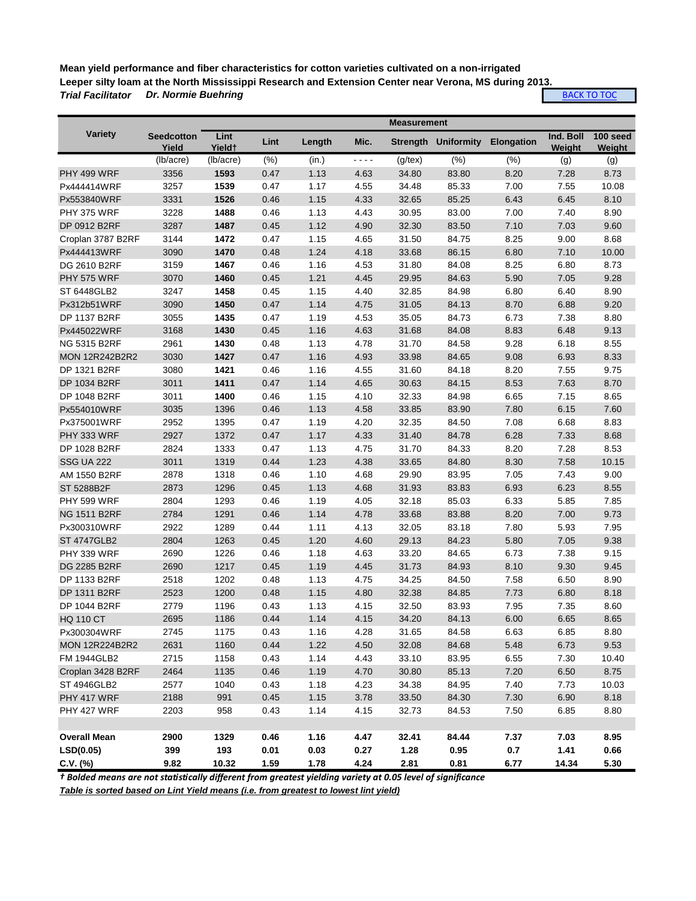**Mean yield performance and fiber characteristics for cotton varieties cultivated on a non-irrigated Leeper silty loam at the North Mississippi Research and Extension Center near Verona, MS during 2013.** *Trial Facilitator Dr. Normie Buehring*

**[BACK TO TOC](#page-0-0)** 

|                       |                            |                            |      |        |                         | <b>Measurement</b> |                            |                   |                     |                    |
|-----------------------|----------------------------|----------------------------|------|--------|-------------------------|--------------------|----------------------------|-------------------|---------------------|--------------------|
| Variety               | <b>Seedcotton</b><br>Yield | Lint<br>Yield <sup>+</sup> | Lint | Length | Mic.                    |                    | <b>Strength Uniformity</b> | <b>Elongation</b> | Ind. Boll<br>Weight | 100 seed<br>Weight |
|                       | (lb/acre)                  | (lb/acre)                  | (% ) | (in.)  | $\omega$ is $\omega$ in | $(g$ /tex $)$      | (% )                       | (% )              | (g)                 | (g)                |
| PHY 499 WRF           | 3356                       | 1593                       | 0.47 | 1.13   | 4.63                    | 34.80              | 83.80                      | 8.20              | 7.28                | 8.73               |
| Px444414WRF           | 3257                       | 1539                       | 0.47 | 1.17   | 4.55                    | 34.48              | 85.33                      | 7.00              | 7.55                | 10.08              |
| Px553840WRF           | 3331                       | 1526                       | 0.46 | 1.15   | 4.33                    | 32.65              | 85.25                      | 6.43              | 6.45                | 8.10               |
| PHY 375 WRF           | 3228                       | 1488                       | 0.46 | 1.13   | 4.43                    | 30.95              | 83.00                      | 7.00              | 7.40                | 8.90               |
| DP 0912 B2RF          | 3287                       | 1487                       | 0.45 | 1.12   | 4.90                    | 32.30              | 83.50                      | 7.10              | 7.03                | 9.60               |
| Croplan 3787 B2RF     | 3144                       | 1472                       | 0.47 | 1.15   | 4.65                    | 31.50              | 84.75                      | 8.25              | 9.00                | 8.68               |
| Px444413WRF           | 3090                       | 1470                       | 0.48 | 1.24   | 4.18                    | 33.68              | 86.15                      | 6.80              | 7.10                | 10.00              |
| DG 2610 B2RF          | 3159                       | 1467                       | 0.46 | 1.16   | 4.53                    | 31.80              | 84.08                      | 8.25              | 6.80                | 8.73               |
| <b>PHY 575 WRF</b>    | 3070                       | 1460                       | 0.45 | 1.21   | 4.45                    | 29.95              | 84.63                      | 5.90              | 7.05                | 9.28               |
| ST 6448GLB2           | 3247                       | 1458                       | 0.45 | 1.15   | 4.40                    | 32.85              | 84.98                      | 6.80              | 6.40                | 8.90               |
| Px312b51WRF           | 3090                       | 1450                       | 0.47 | 1.14   | 4.75                    | 31.05              | 84.13                      | 8.70              | 6.88                | 9.20               |
| DP 1137 B2RF          | 3055                       | 1435                       | 0.47 | 1.19   | 4.53                    | 35.05              | 84.73                      | 6.73              | 7.38                | 8.80               |
| Px445022WRF           | 3168                       | 1430                       | 0.45 | 1.16   | 4.63                    | 31.68              | 84.08                      | 8.83              | 6.48                | 9.13               |
| <b>NG 5315 B2RF</b>   | 2961                       | 1430                       | 0.48 | 1.13   | 4.78                    | 31.70              | 84.58                      | 9.28              | 6.18                | 8.55               |
| <b>MON 12R242B2R2</b> | 3030                       | 1427                       | 0.47 | 1.16   | 4.93                    | 33.98              | 84.65                      | 9.08              | 6.93                | 8.33               |
| DP 1321 B2RF          | 3080                       | 1421                       | 0.46 | 1.16   | 4.55                    | 31.60              | 84.18                      | 8.20              | 7.55                | 9.75               |
| DP 1034 B2RF          | 3011                       | 1411                       | 0.47 | 1.14   | 4.65                    | 30.63              | 84.15                      | 8.53              | 7.63                | 8.70               |
| DP 1048 B2RF          | 3011                       | 1400                       | 0.46 | 1.15   | 4.10                    | 32.33              | 84.98                      | 6.65              | 7.15                | 8.65               |
| Px554010WRF           | 3035                       | 1396                       | 0.46 | 1.13   | 4.58                    | 33.85              | 83.90                      | 7.80              | 6.15                | 7.60               |
| Px375001WRF           | 2952                       | 1395                       | 0.47 | 1.19   | 4.20                    | 32.35              | 84.50                      | 7.08              | 6.68                | 8.83               |
| PHY 333 WRF           | 2927                       | 1372                       | 0.47 | 1.17   | 4.33                    | 31.40              | 84.78                      | 6.28              | 7.33                | 8.68               |
| DP 1028 B2RF          | 2824                       | 1333                       | 0.47 | 1.13   | 4.75                    | 31.70              | 84.33                      | 8.20              | 7.28                | 8.53               |
| <b>SSG UA 222</b>     | 3011                       | 1319                       | 0.44 | 1.23   | 4.38                    | 33.65              | 84.80                      | 8.30              | 7.58                | 10.15              |
| AM 1550 B2RF          | 2878                       | 1318                       | 0.46 | 1.10   | 4.68                    | 29.90              | 83.95                      | 7.05              | 7.43                | 9.00               |
| ST 5288B2F            | 2873                       | 1296                       | 0.45 | 1.13   | 4.68                    | 31.93              | 83.83                      | 6.93              | 6.23                | 8.55               |
| <b>PHY 599 WRF</b>    | 2804                       | 1293                       | 0.46 | 1.19   | 4.05                    | 32.18              | 85.03                      | 6.33              | 5.85                | 7.85               |
| <b>NG 1511 B2RF</b>   | 2784                       | 1291                       | 0.46 | 1.14   | 4.78                    | 33.68              | 83.88                      | 8.20              | 7.00                | 9.73               |
| Px300310WRF           | 2922                       | 1289                       | 0.44 | 1.11   | 4.13                    | 32.05              | 83.18                      | 7.80              | 5.93                | 7.95               |
| <b>ST 4747GLB2</b>    | 2804                       | 1263                       | 0.45 | 1.20   | 4.60                    | 29.13              | 84.23                      | 5.80              | 7.05                | 9.38               |
| PHY 339 WRF           | 2690                       | 1226                       | 0.46 | 1.18   | 4.63                    | 33.20              | 84.65                      | 6.73              | 7.38                | 9.15               |
| DG 2285 B2RF          | 2690                       | 1217                       | 0.45 | 1.19   | 4.45                    | 31.73              | 84.93                      | 8.10              | 9.30                | 9.45               |
| DP 1133 B2RF          | 2518                       | 1202                       | 0.48 | 1.13   | 4.75                    | 34.25              | 84.50                      | 7.58              | 6.50                | 8.90               |
| DP 1311 B2RF          | 2523                       | 1200                       | 0.48 | 1.15   | 4.80                    | 32.38              | 84.85                      | 7.73              | 6.80                | 8.18               |
| DP 1044 B2RF          | 2779                       | 1196                       | 0.43 | 1.13   | 4.15                    | 32.50              | 83.93                      | 7.95              | 7.35                | 8.60               |
| <b>HQ 110 CT</b>      | 2695                       | 1186                       | 0.44 | 1.14   | 4.15                    | 34.20              | 84.13                      | 6.00              | 6.65                | 8.65               |
| Px300304WRF           | 2745                       | 1175                       | 0.43 | 1.16   | 4.28                    | 31.65              | 84.58                      | 6.63              | 6.85                | 8.80               |
| <b>MON 12R224B2R2</b> | 2631                       | 1160                       | 0.44 | 1.22   | 4.50                    | 32.08              | 84.68                      | 5.48              | 6.73                | 9.53               |
| FM 1944GLB2           | 2715                       | 1158                       | 0.43 | 1.14   | 4.43                    | 33.10              | 83.95                      | 6.55              | 7.30                | 10.40              |
| Croplan 3428 B2RF     | 2464                       | 1135                       | 0.46 | 1.19   | 4.70                    | 30.80              | 85.13                      | 7.20              | 6.50                | 8.75               |
| ST 4946GLB2           | 2577                       | 1040                       | 0.43 | 1.18   | 4.23                    | 34.38              | 84.95                      | 7.40              | 7.73                | 10.03              |
| PHY 417 WRF           | 2188                       | 991                        | 0.45 | 1.15   | 3.78                    | 33.50              | 84.30                      | 7.30              | 6.90                | 8.18               |
| PHY 427 WRF           | 2203                       | 958                        | 0.43 | 1.14   | 4.15                    | 32.73              | 84.53                      | 7.50              | 6.85                | 8.80               |
|                       |                            |                            |      |        |                         |                    |                            |                   |                     |                    |
| <b>Overall Mean</b>   | 2900                       | 1329                       | 0.46 | 1.16   | 4.47                    | 32.41              | 84.44                      | 7.37              | 7.03                | 8.95               |
| LSD(0.05)             | 399                        | 193                        | 0.01 | 0.03   | 0.27                    | 1.28               | 0.95                       | 0.7               | 1.41                | 0.66               |
| $C.V.$ (%)            | 9.82                       | 10.32                      | 1.59 | 1.78   | 4.24                    | 2.81               | 0.81                       | 6.77              | 14.34               | 5.30               |

*† Bolded means are not statistically different from greatest yielding variety at 0.05 level of significance*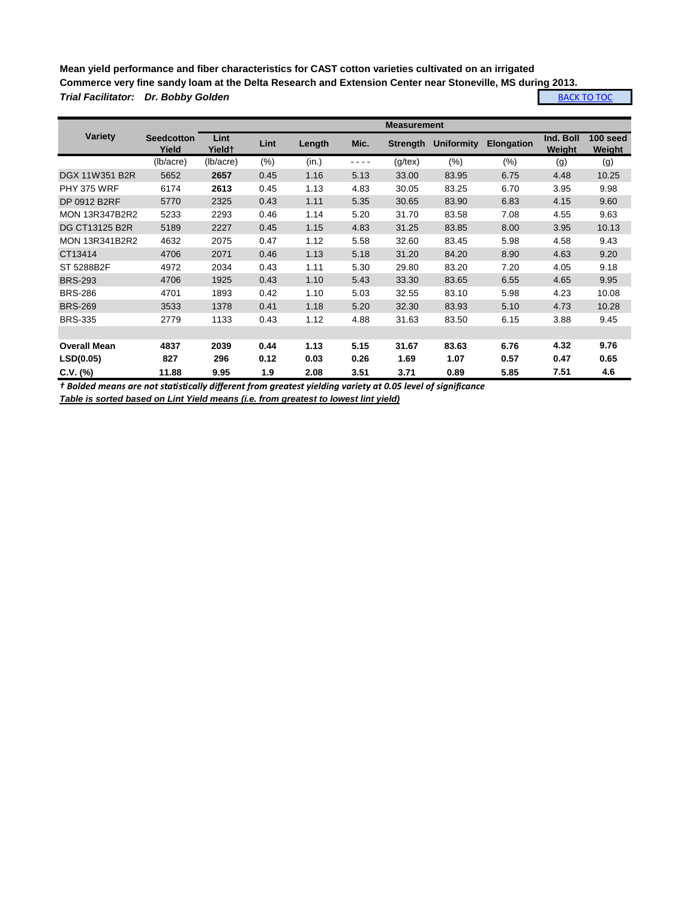**Mean yield performance and fiber characteristics for CAST cotton varieties cultivated on an irrigated Commerce very fine sandy loam at the Delta Research and Extension Center near Stoneville, MS during 2013.** *Trial Facilitator: Dr. Bobby Golden* **[BACK TO TOC](#page-0-0)** 

|                       | <b>Measurement</b>         |                |      |        |      |                 |                   |                   |                     |                    |
|-----------------------|----------------------------|----------------|------|--------|------|-----------------|-------------------|-------------------|---------------------|--------------------|
| <b>Variety</b>        | <b>Seedcotton</b><br>Yield | Lint<br>Yield† | Lint | Length | Mic. | <b>Strength</b> | <b>Uniformity</b> | <b>Elongation</b> | Ind. Boll<br>Weight | 100 seed<br>Weight |
|                       | (lb/acre)                  | (lb/acre)      | (% ) | (in.)  | ---- | $(g$ /tex $)$   | (% )              | (%)               | (g)                 | (g)                |
| DGX 11W351 B2R        | 5652                       | 2657           | 0.45 | 1.16   | 5.13 | 33.00           | 83.95             | 6.75              | 4.48                | 10.25              |
| <b>PHY 375 WRF</b>    | 6174                       | 2613           | 0.45 | 1.13   | 4.83 | 30.05           | 83.25             | 6.70              | 3.95                | 9.98               |
| DP 0912 B2RF          | 5770                       | 2325           | 0.43 | 1.11   | 5.35 | 30.65           | 83.90             | 6.83              | 4.15                | 9.60               |
| <b>MON 13R347B2R2</b> | 5233                       | 2293           | 0.46 | 1.14   | 5.20 | 31.70           | 83.58             | 7.08              | 4.55                | 9.63               |
| DG CT13125 B2R        | 5189                       | 2227           | 0.45 | 1.15   | 4.83 | 31.25           | 83.85             | 8.00              | 3.95                | 10.13              |
| <b>MON 13R341B2R2</b> | 4632                       | 2075           | 0.47 | 1.12   | 5.58 | 32.60           | 83.45             | 5.98              | 4.58                | 9.43               |
| CT13414               | 4706                       | 2071           | 0.46 | 1.13   | 5.18 | 31.20           | 84.20             | 8.90              | 4.63                | 9.20               |
| ST 5288B2F            | 4972                       | 2034           | 0.43 | 1.11   | 5.30 | 29.80           | 83.20             | 7.20              | 4.05                | 9.18               |
| <b>BRS-293</b>        | 4706                       | 1925           | 0.43 | 1.10   | 5.43 | 33.30           | 83.65             | 6.55              | 4.65                | 9.95               |
| <b>BRS-286</b>        | 4701                       | 1893           | 0.42 | 1.10   | 5.03 | 32.55           | 83.10             | 5.98              | 4.23                | 10.08              |
| <b>BRS-269</b>        | 3533                       | 1378           | 0.41 | 1.18   | 5.20 | 32.30           | 83.93             | 5.10              | 4.73                | 10.28              |
| <b>BRS-335</b>        | 2779                       | 1133           | 0.43 | 1.12   | 4.88 | 31.63           | 83.50             | 6.15              | 3.88                | 9.45               |
|                       |                            |                |      |        |      |                 |                   |                   |                     |                    |
| <b>Overall Mean</b>   | 4837                       | 2039           | 0.44 | 1.13   | 5.15 | 31.67           | 83.63             | 6.76              | 4.32                | 9.76               |
| LSD(0.05)             | 827                        | 296            | 0.12 | 0.03   | 0.26 | 1.69            | 1.07              | 0.57              | 0.47                | 0.65               |
| $C.V.$ (%)            | 11.88                      | 9.95           | 1.9  | 2.08   | 3.51 | 3.71            | 0.89              | 5.85              | 7.51                | 4.6                |

*† Bolded means are not statistically different from greatest yielding variety at 0.05 level of significance Table is sorted based on Lint Yield means (i.e. from greatest to lowest lint yield)*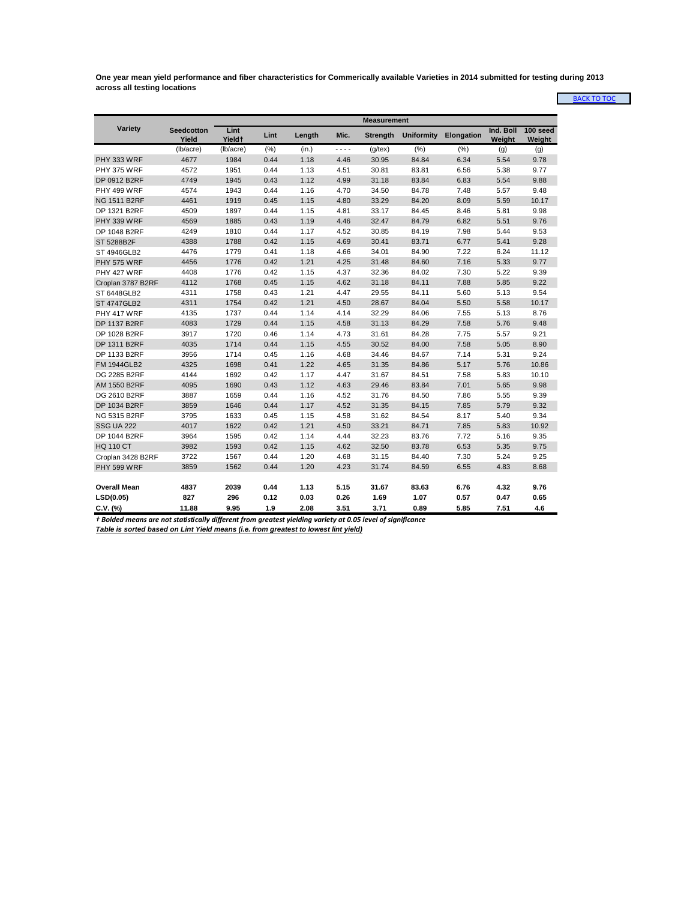<span id="page-15-0"></span>**One year mean yield performance and fiber characteristics for Commerically available Varieties in 2014 submitted for testing during 2013 across all testing locations**

[BACK T](#page-0-0)O TOC

|                     |                            | <b>Measurement</b>         |      |        |      |                 |                   |            |                     |                    |  |
|---------------------|----------------------------|----------------------------|------|--------|------|-----------------|-------------------|------------|---------------------|--------------------|--|
| Variety             | <b>Seedcotton</b><br>Yield | Lint<br>Yield <sup>+</sup> | Lint | Length | Mic. | <b>Strength</b> | <b>Uniformity</b> | Elongation | Ind. Boll<br>Weight | 100 seed<br>Weight |  |
|                     | (lb/acre)                  | (lb/acre)                  | (% ) | (in.)  | .    | $(g$ /tex $)$   | (% )              | (%)        | (g)                 | (g)                |  |
| PHY 333 WRF         | 4677                       | 1984                       | 0.44 | 1.18   | 4.46 | 30.95           | 84.84             | 6.34       | 5.54                | 9.78               |  |
| PHY 375 WRF         | 4572                       | 1951                       | 0.44 | 1.13   | 4.51 | 30.81           | 83.81             | 6.56       | 5.38                | 9.77               |  |
| DP 0912 B2RF        | 4749                       | 1945                       | 0.43 | 1.12   | 4.99 | 31.18           | 83.84             | 6.83       | 5.54                | 9.88               |  |
| PHY 499 WRF         | 4574                       | 1943                       | 0.44 | 1.16   | 4.70 | 34.50           | 84.78             | 7.48       | 5.57                | 9.48               |  |
| <b>NG 1511 B2RF</b> | 4461                       | 1919                       | 0.45 | 1.15   | 4.80 | 33.29           | 84.20             | 8.09       | 5.59                | 10.17              |  |
| DP 1321 B2RF        | 4509                       | 1897                       | 0.44 | 1.15   | 4.81 | 33.17           | 84.45             | 8.46       | 5.81                | 9.98               |  |
| PHY 339 WRF         | 4569                       | 1885                       | 0.43 | 1.19   | 4.46 | 32.47           | 84.79             | 6.82       | 5.51                | 9.76               |  |
| DP 1048 B2RF        | 4249                       | 1810                       | 0.44 | 1.17   | 4.52 | 30.85           | 84.19             | 7.98       | 5.44                | 9.53               |  |
| ST 5288B2F          | 4388                       | 1788                       | 0.42 | 1.15   | 4.69 | 30.41           | 83.71             | 6.77       | 5.41                | 9.28               |  |
| ST 4946GLB2         | 4476                       | 1779                       | 0.41 | 1.18   | 4.66 | 34.01           | 84.90             | 7.22       | 6.24                | 11.12              |  |
| <b>PHY 575 WRF</b>  | 4456                       | 1776                       | 0.42 | 1.21   | 4.25 | 31.48           | 84.60             | 7.16       | 5.33                | 9.77               |  |
| PHY 427 WRF         | 4408                       | 1776                       | 0.42 | 1.15   | 4.37 | 32.36           | 84.02             | 7.30       | 5.22                | 9.39               |  |
| Croplan 3787 B2RF   | 4112                       | 1768                       | 0.45 | 1.15   | 4.62 | 31.18           | 84.11             | 7.88       | 5.85                | 9.22               |  |
| ST 6448GLB2         | 4311                       | 1758                       | 0.43 | 1.21   | 4.47 | 29.55           | 84.11             | 5.60       | 5.13                | 9.54               |  |
| <b>ST 4747GLB2</b>  | 4311                       | 1754                       | 0.42 | 1.21   | 4.50 | 28.67           | 84.04             | 5.50       | 5.58                | 10.17              |  |
| PHY 417 WRF         | 4135                       | 1737                       | 0.44 | 1.14   | 4.14 | 32.29           | 84.06             | 7.55       | 5.13                | 8.76               |  |
| <b>DP 1137 B2RF</b> | 4083                       | 1729                       | 0.44 | 1.15   | 4.58 | 31.13           | 84.29             | 7.58       | 5.76                | 9.48               |  |
| DP 1028 B2RF        | 3917                       | 1720                       | 0.46 | 1.14   | 4.73 | 31.61           | 84.28             | 7.75       | 5.57                | 9.21               |  |
| DP 1311 B2RF        | 4035                       | 1714                       | 0.44 | 1.15   | 4.55 | 30.52           | 84.00             | 7.58       | 5.05                | 8.90               |  |
| DP 1133 B2RF        | 3956                       | 1714                       | 0.45 | 1.16   | 4.68 | 34.46           | 84.67             | 7.14       | 5.31                | 9.24               |  |
| <b>FM 1944GLB2</b>  | 4325                       | 1698                       | 0.41 | 1.22   | 4.65 | 31.35           | 84.86             | 5.17       | 5.76                | 10.86              |  |
| DG 2285 B2RF        | 4144                       | 1692                       | 0.42 | 1.17   | 4.47 | 31.67           | 84.51             | 7.58       | 5.83                | 10.10              |  |
| AM 1550 B2RF        | 4095                       | 1690                       | 0.43 | 1.12   | 4.63 | 29.46           | 83.84             | 7.01       | 5.65                | 9.98               |  |
| DG 2610 B2RF        | 3887                       | 1659                       | 0.44 | 1.16   | 4.52 | 31.76           | 84.50             | 7.86       | 5.55                | 9.39               |  |
| DP 1034 B2RF        | 3859                       | 1646                       | 0.44 | 1.17   | 4.52 | 31.35           | 84.15             | 7.85       | 5.79                | 9.32               |  |
| NG 5315 B2RF        | 3795                       | 1633                       | 0.45 | 1.15   | 4.58 | 31.62           | 84.54             | 8.17       | 5.40                | 9.34               |  |
| <b>SSG UA 222</b>   | 4017                       | 1622                       | 0.42 | 1.21   | 4.50 | 33.21           | 84.71             | 7.85       | 5.83                | 10.92              |  |
| DP 1044 B2RF        | 3964                       | 1595                       | 0.42 | 1.14   | 4.44 | 32.23           | 83.76             | 7.72       | 5.16                | 9.35               |  |
| <b>HQ 110 CT</b>    | 3982                       | 1593                       | 0.42 | 1.15   | 4.62 | 32.50           | 83.78             | 6.53       | 5.35                | 9.75               |  |
| Croplan 3428 B2RF   | 3722                       | 1567                       | 0.44 | 1.20   | 4.68 | 31.15           | 84.40             | 7.30       | 5.24                | 9.25               |  |
| PHY 599 WRF         | 3859                       | 1562                       | 0.44 | 1.20   | 4.23 | 31.74           | 84.59             | 6.55       | 4.83                | 8.68               |  |
|                     |                            |                            |      |        |      |                 |                   |            |                     |                    |  |
| <b>Overall Mean</b> | 4837                       | 2039                       | 0.44 | 1.13   | 5.15 | 31.67           | 83.63             | 6.76       | 4.32                | 9.76               |  |
| LSD(0.05)           | 827                        | 296                        | 0.12 | 0.03   | 0.26 | 1.69            | 1.07              | 0.57       | 0.47                | 0.65               |  |
| $C.V.$ (%)          | 11.88                      | 9.95                       | 1.9  | 2.08   | 3.51 | 3.71            | 0.89              | 5.85       | 7.51                | 4.6                |  |

*† Bolded means are not statistically different from greatest yielding variety at 0.05 level of significance*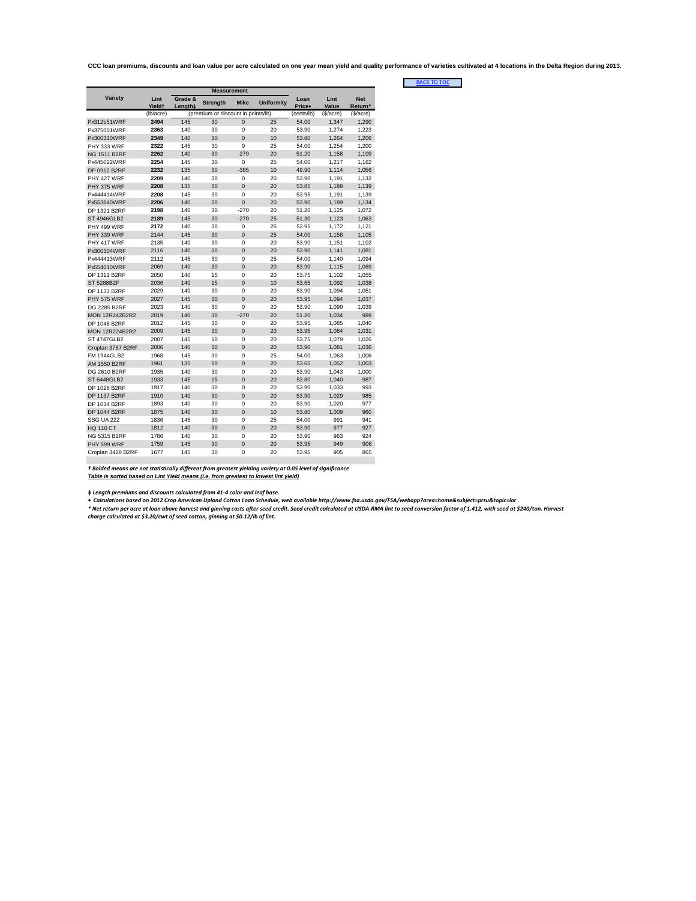<span id="page-16-0"></span>**CCC loan premiums, discounts and loan value per acre calculated on one year mean yield and quality performance of varieties cultivated at 4 locations in the Delta Region during 2013.**

[BACK T](#page-0-0)O TOC

| Variety               | Lint<br><b>Yieldt</b> | Grade &<br>Length# | <b>Strength</b>                    | <b>Mike</b>    | <b>Uniformity</b> | Loan<br>Price• | Lint<br>Value | <b>Net</b><br>Return* |
|-----------------------|-----------------------|--------------------|------------------------------------|----------------|-------------------|----------------|---------------|-----------------------|
|                       | (lb/acre)             |                    | (premium or discount in points/lb) |                |                   | (cents/lb)     | (\$/acre)     | (\$/acre)             |
| Px312b51WRF           | 2494                  | 145                | 30                                 | $\overline{0}$ | 25                | 54.00          | 1.347         | 1.290                 |
| Px375001WRF           | 2363                  | 140                | 30                                 | $\mathbf 0$    | 20                | 53.90          | 1.274         | 1.223                 |
| Px300310WRF           | 2349                  | 140                | 30                                 | $\Omega$       | 10                | 53.80          | 1,264         | 1,206                 |
| PHY 333 WRF           | 2322                  | 145                | 30                                 | $\Omega$       | 25                | 54.00          | 1.254         | 1,200                 |
| <b>NG 1511 B2RF</b>   | 2262                  | 140                | 30                                 | $-270$         | 20                | 51.20          | 1,158         | 1,109                 |
| Px445022WRF           | 2254                  | 145                | 30                                 | $\mathbf 0$    | 25                | 54.00          | 1.217         | 1.162                 |
| DP 0912 B2RF          | 2232                  | 135                | 30                                 | $-385$         | 10                | 49.90          | 1.114         | 1.056                 |
| PHY 427 WRF           | 2209                  | 140                | 30                                 | 0              | 20                | 53.90          | 1,191         | 1,132                 |
| PHY 375 WRF           | 2208                  | 135                | 30                                 | $\Omega$       | 20                | 53.85          | 1,189         | 1,139                 |
| Px444414WRF           | 2208                  | 145                | 30                                 | $\Omega$       | 20                | 53.95          | 1,191         | 1,139                 |
| Px553840WRF           | 2206                  | 140                | 30                                 | $\Omega$       | 20                | 53.90          | 1,189         | 1,134                 |
| DP 1321 B2RF          | 2198                  | 140                | 30                                 | $-270$         | 20                | 51.20          | 1.125         | 1.072                 |
| <b>ST 4946GLB2</b>    | 2189                  | 145                | 30                                 | $-270$         | 25                | 51.30          | 1,123         | 1,063                 |
| PHY 499 WRF           | 2172                  | 140                | 30                                 | 0              | 25                | 53.95          | 1,172         | 1,121                 |
| PHY 339 WRF           | 2144                  | 145                | 30                                 | $\mathbf 0$    | 25                | 54.00          | 1,158         | 1,105                 |
| PHY 417 WRF           | 2135                  | 140                | 30                                 | $\Omega$       | 20                | 53.90          | 1,151         | 1,102                 |
| Px300304WRF           | 2116                  | 140                | 30                                 | $\Omega$       | 20                | 53.90          | 1,141         | 1.081                 |
| Px444413WRF           | 2112                  | 145                | 30                                 | $\mathbf 0$    | 25                | 54.00          | 1,140         | 1,094                 |
| Px554010WRF           | 2069                  | 140                | 30                                 | $\overline{0}$ | 20                | 53.90          | 1.115         | 1.069                 |
| DP 1311 B2RF          | 2050                  | 140                | 15                                 | $\mathbf 0$    | 20                | 53.75          | 1.102         | 1.055                 |
| ST 5288B2F            | 2036                  | 140                | 15                                 | $\overline{0}$ | 10                | 53.65          | 1,092         | 1,038                 |
| DP 1133 B2RF          | 2029                  | 140                | 30                                 | $\Omega$       | 20                | 53.90          | 1.094         | 1,051                 |
| <b>PHY 575 WRF</b>    | 2027                  | 145                | 30                                 | $\Omega$       | 20                | 53.95          | 1.094         | 1,037                 |
| DG 2285 B2RF          | 2023                  | 140                | 30                                 | $\mathbf 0$    | 20                | 53.90          | 1,090         | 1,039                 |
| <b>MON 12R242B2R2</b> | 2019                  | 140                | 30                                 | $-270$         | 20                | 51.20          | 1.034         | 989                   |
| DP 1048 B2RF          | 2012                  | 145                | 30                                 | 0              | 20                | 53.95          | 1.085         | 1.040                 |
| <b>MON 12R224B2R2</b> | 2009                  | 145                | 30                                 | $\Omega$       | 20                | 53.95          | 1,084         | 1,031                 |
| <b>ST 4747GLB2</b>    | 2007                  | 145                | 10                                 | $\mathbf 0$    | 20                | 53.75          | 1,079         | 1,026                 |
| Croplan 3787 B2RF     | 2006                  | 140                | 30                                 | $\overline{0}$ | 20                | 53.90          | 1,081         | 1,036                 |
| <b>FM 1944GLB2</b>    | 1968                  | 145                | 30                                 | $\mathbf 0$    | 25                | 54.00          | 1.063         | 1.006                 |
| AM 1550 B2RF          | 1961                  | 135                | 10                                 | $\overline{0}$ | 20                | 53.65          | 1.052         | 1.003                 |
| DG 2610 B2RF          | 1935                  | 140                | 30                                 | $\Omega$       | 20                | 53.90          | 1,043         | 1,000                 |
| <b>ST 6448GLB2</b>    | 1933                  | 145                | 15                                 | $\mathbf 0$    | 20                | 53.80          | 1,040         | 987                   |
| DP 1028 B2RF          | 1917                  | 140                | 30                                 | $\Omega$       | 20                | 53.90          | 1,033         | 993                   |
| <b>DP 1137 B2RF</b>   | 1910                  | 140                | 30                                 | $\overline{0}$ | 20                | 53.90          | 1,029         | 985                   |
| DP 1034 B2RF          | 1893                  | 140                | 30                                 | $\mathbf 0$    | 20                | 53.90          | 1,020         | 977                   |
| <b>DP 1044 B2RF</b>   | 1875                  | 140                | 30                                 | $\overline{0}$ | 10                | 53.80          | 1,009         | 960                   |
| <b>SSG UA 222</b>     | 1836                  | 145                | 30                                 | $\mathbf 0$    | 25                | 54.00          | 991           | 941                   |
| <b>HQ 110 CT</b>      | 1812                  | 140                | 30                                 | $\overline{0}$ | 20                | 53.90          | 977           | 927                   |
| <b>NG 5315 B2RF</b>   | 1786                  | 140                | 30                                 | $\Omega$       | 20                | 53.90          | 963           | 924                   |
| PHY 599 WRF           | 1759                  | 145                | 30                                 | $\Omega$       | 20                | 53.95          | 949           | 906                   |
| Croplan 3428 B2RF     | 1677                  | 145                | 30                                 | $\Omega$       | 20                | 53.95          | 905           | 865                   |
|                       |                       |                    |                                    |                |                   |                |               |                       |

*† Bolded means are not statistically different from greatest yielding variety at 0.05 level of significance Table is sorted based on Lint Yield means (i.e. from greatest to lowest lint yield)*

**ǂ** *Length premiums and discounts calculated from 41-4 color and leaf base.*

• Calculations based on 2012 Crop American Upland Cotton Loan Schedule, web available http://www.fsa.usda.gov/FSA/webapp?area=home&subject=prsu&topic=lor .<br>\* Net return per acre at loan above havest and ginning costs affer